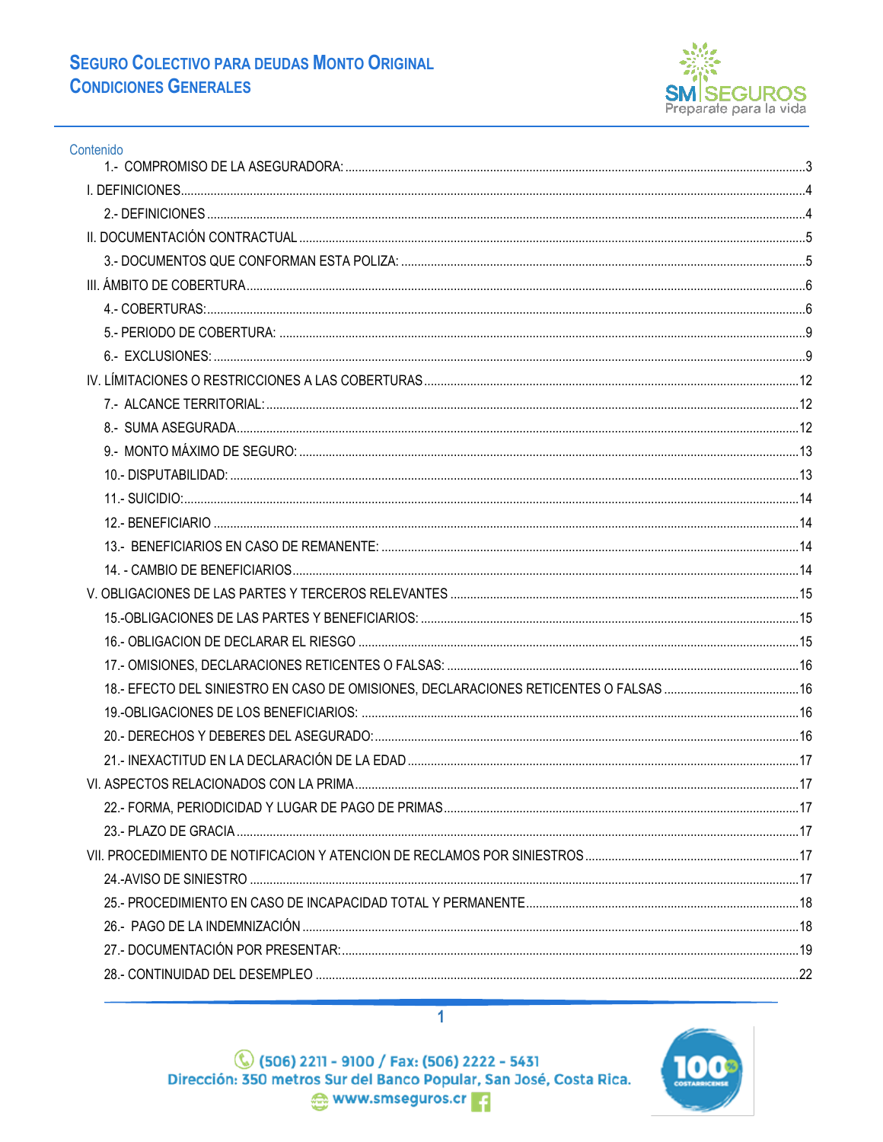

| Contenido |  |
|-----------|--|
|           |  |
|           |  |
|           |  |
|           |  |
|           |  |
|           |  |
|           |  |
|           |  |
|           |  |
|           |  |
|           |  |
|           |  |
|           |  |
|           |  |
|           |  |
|           |  |
|           |  |
|           |  |
|           |  |
|           |  |
|           |  |
|           |  |
|           |  |
|           |  |
|           |  |
|           |  |
|           |  |
|           |  |
|           |  |
|           |  |
|           |  |
|           |  |
|           |  |
|           |  |

(506) 1211 - 9100 / Fax: (506) 2222 - 5431<br>Dirección: 350 metros Sur del Banco Popular, San José, Costa Rica. www.smseguros.cr

 $\overline{1}$ 

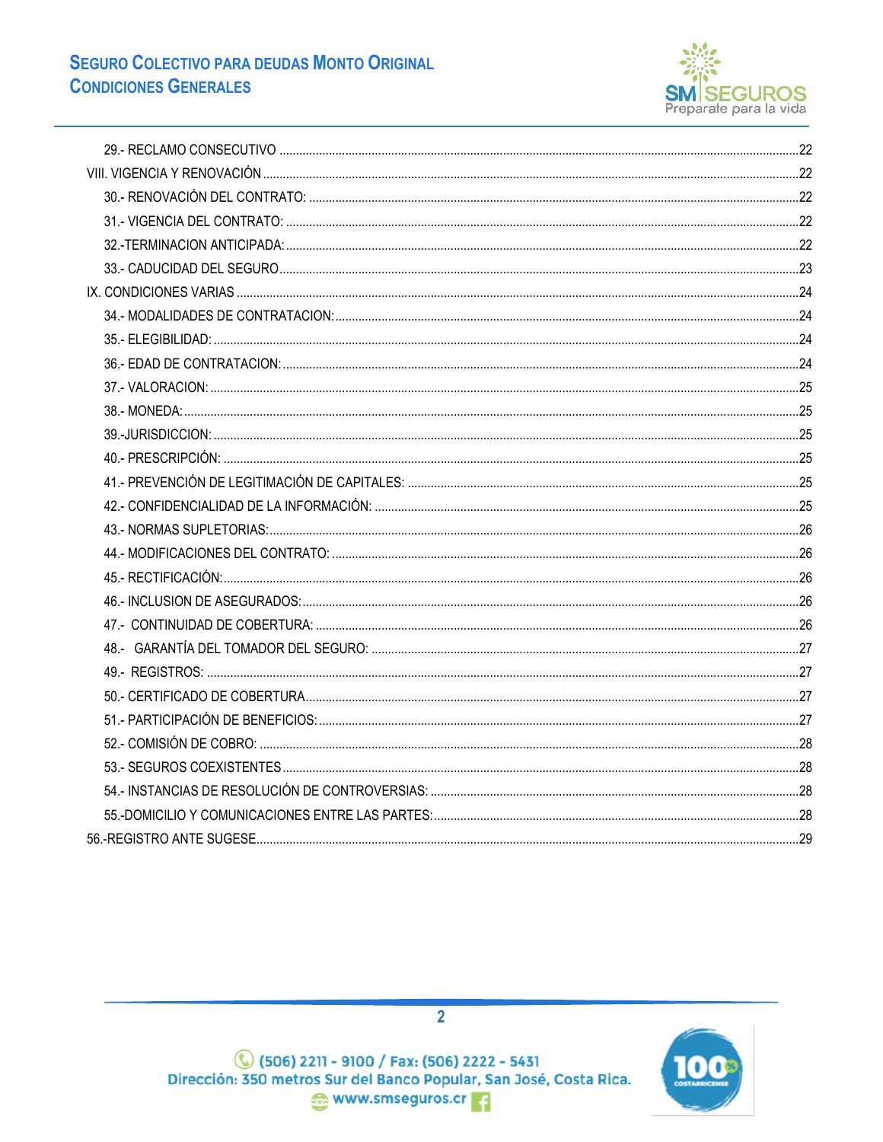

(506) 1211 - 9100 / Fax: (506) 2222 - 5431<br>Dirección: 350 metros Sur del Banco Popular, San José, Costa Rica. www.smseguros.cr

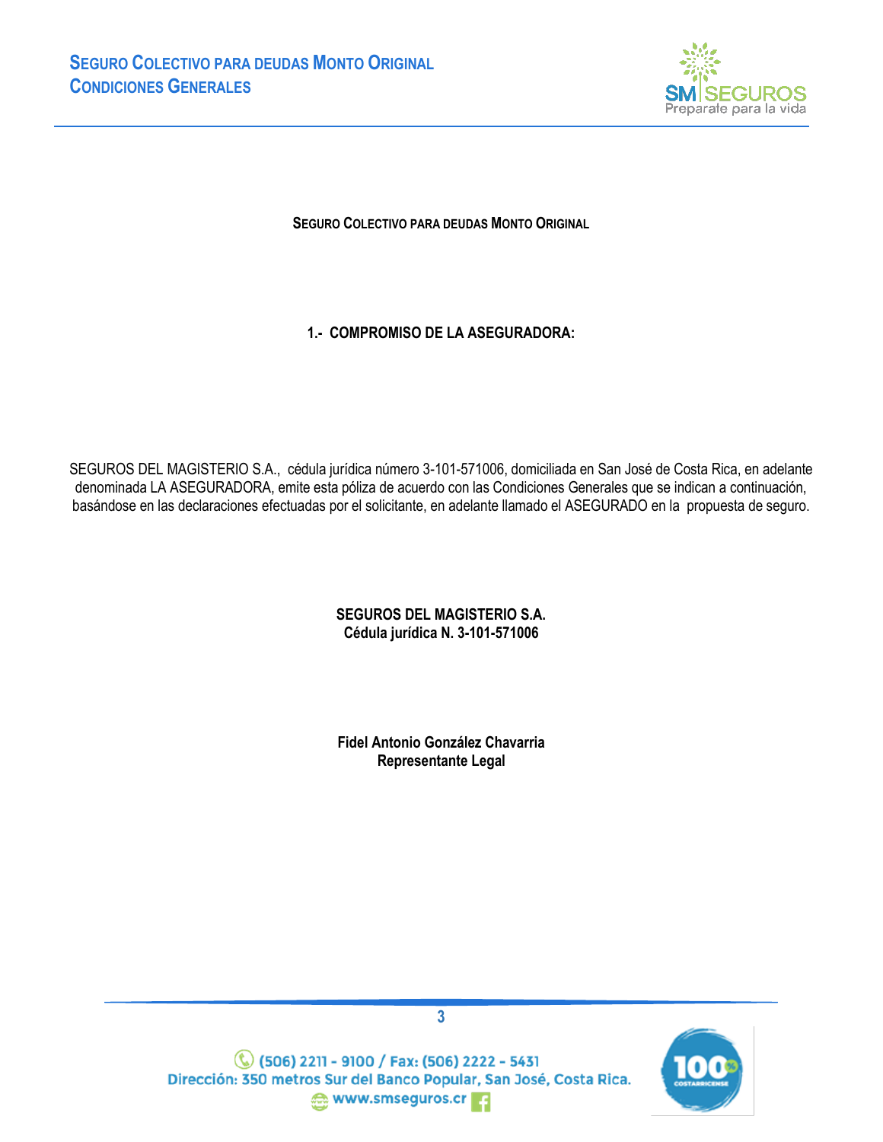

**SEGURO COLECTIVO PARA DEUDAS MONTO ORIGINAL**

**1.- COMPROMISO DE LA ASEGURADORA:**

<span id="page-2-0"></span>SEGUROS DEL MAGISTERIO S.A., cédula jurídica número 3-101-571006, domiciliada en San José de Costa Rica, en adelante denominada LA ASEGURADORA, emite esta póliza de acuerdo con las Condiciones Generales que se indican a continuación, basándose en las declaraciones efectuadas por el solicitante, en adelante llamado el ASEGURADO en la propuesta de seguro.

### **SEGUROS DEL MAGISTERIO S.A. Cédula jurídica N. 3-101-571006**

**Fidel Antonio González Chavarria Representante Legal**



**3**

**C** (506) 2211 - 9100 / Fax: (506) 2222 - 5431 Dirección: 350 metros Sur del Banco Popular, San José, Costa Rica. www.smseguros.cr 3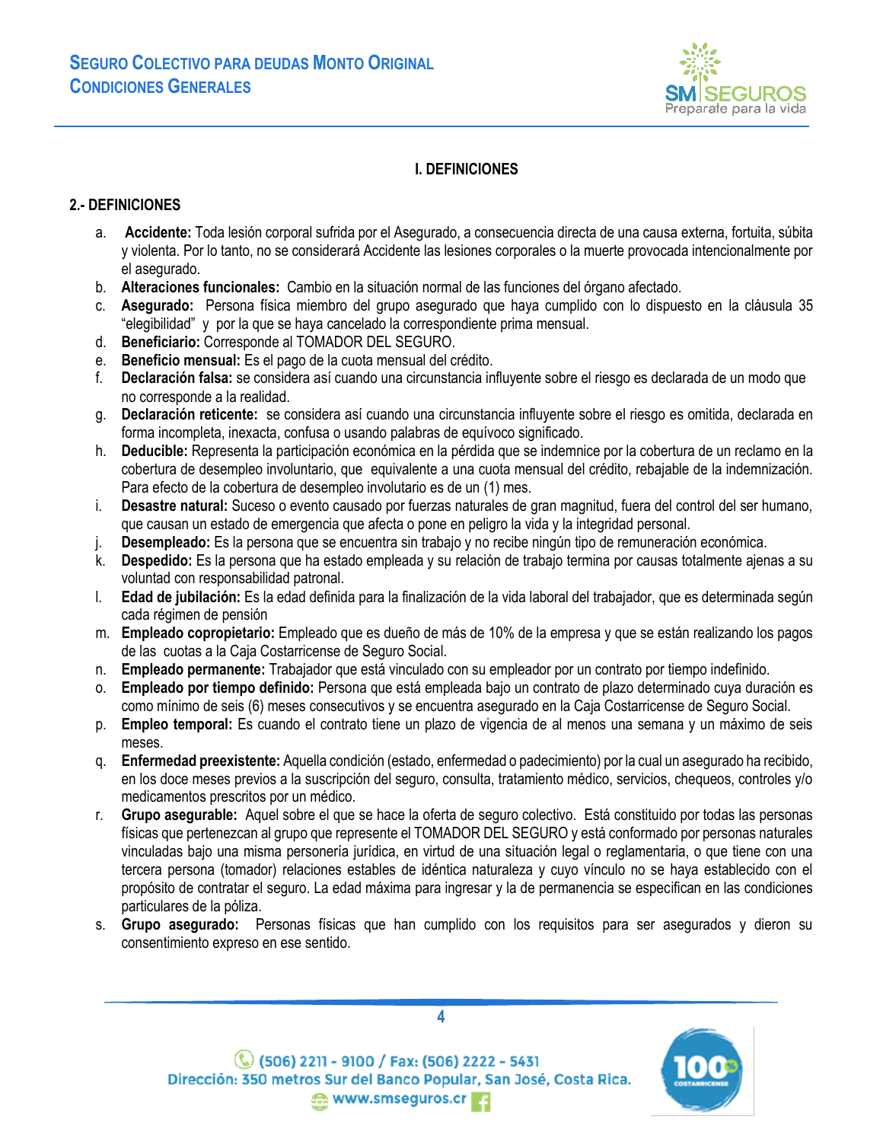

## <span id="page-3-0"></span>**I. DEFINICIONES**

### <span id="page-3-1"></span>**2.- DEFINICIONES**

- a. **Accidente:** Toda lesión corporal sufrida por el Asegurado, a consecuencia directa de una causa externa, fortuita, súbita y violenta. Por lo tanto, no se considerará Accidente las lesiones corporales o la muerte provocada intencionalmente por el asegurado.
- b. **Alteraciones funcionales:** Cambio en la situación normal de las funciones del órgano afectado.
- c. **Asegurado:** Persona física miembro del grupo asegurado que haya cumplido con lo dispuesto en la cláusula 35 "elegibilidad" y por la que se haya cancelado la correspondiente prima mensual.
- d. **Beneficiario:** Corresponde al TOMADOR DEL SEGURO.
- e. **Beneficio mensual:** Es el pago de la cuota mensual del crédito.
- f. **Declaración falsa:** se considera así cuando una circunstancia influyente sobre el riesgo es declarada de un modo que no corresponde a la realidad.
- g. **Declaración reticente:** se considera así cuando una circunstancia influyente sobre el riesgo es omitida, declarada en forma incompleta, inexacta, confusa o usando palabras de equívoco significado.
- h. **Deducible:** Representa la participación económica en la pérdida que se indemnice por la cobertura de un reclamo en la cobertura de desempleo involuntario, que equivalente a una cuota mensual del crédito, rebajable de la indemnización. Para efecto de la cobertura de desempleo involutario es de un (1) mes.
- i. **Desastre natural:** Suceso o evento causado por fuerzas naturales de gran magnitud, fuera del control del ser humano, que causan un estado de emergencia que afecta o pone en peligro la vida y la integridad personal.
- j. **Desempleado:** Es la persona que se encuentra sin trabajo y no recibe ningún tipo de remuneración económica.
- k. **Despedido:** Es la persona que ha estado empleada y su relación de trabajo termina por causas totalmente ajenas a su voluntad con responsabilidad patronal.
- l. **Edad de jubilación:** Es la edad definida para la finalización de la vida laboral del trabajador, que es determinada según cada régimen de pensión
- m. **Empleado copropietario:** Empleado que es dueño de más de 10% de la empresa y que se están realizando los pagos de las cuotas a la Caja Costarricense de Seguro Social.
- n. **Empleado permanente:** Trabajador que está vinculado con su empleador por un contrato por tiempo indefinido.
- o. **Empleado por tiempo definido:** Persona que está empleada bajo un contrato de plazo determinado cuya duración es como mínimo de seis (6) meses consecutivos y se encuentra asegurado en la Caja Costarricense de Seguro Social.
- p. **Empleo temporal:** Es cuando el contrato tiene un plazo de vigencia de al menos una semana y un máximo de seis meses.
- q. **Enfermedad preexistente:** Aquella condición (estado, enfermedad o padecimiento) por la cual un asegurado ha recibido, en los doce meses previos a la suscripción del seguro, consulta, tratamiento médico, servicios, chequeos, controles y/o medicamentos prescritos por un médico.
- r. **Grupo asegurable:** Aquel sobre el que se hace la oferta de seguro colectivo. Está constituido por todas las personas físicas que pertenezcan al grupo que represente el TOMADOR DEL SEGURO y está conformado por personas naturales vinculadas bajo una misma personería jurídica, en virtud de una situación legal o reglamentaria, o que tiene con una tercera persona (tomador) relaciones estables de idéntica naturaleza y cuyo vínculo no se haya establecido con el propósito de contratar el seguro. La edad máxima para ingresar y la de permanencia se especifican en las condiciones particulares de la póliza.
- s. **Grupo asegurado:** Personas físicas que han cumplido con los requisitos para ser asegurados y dieron su consentimiento expreso en ese sentido.





(C) (506) 2211 - 9100 / Fax: (506) 2222 - 5431 Dirección: 350 metros Sur del Banco Popular, San José, Costa Rica. **MWW.smseguros.cr**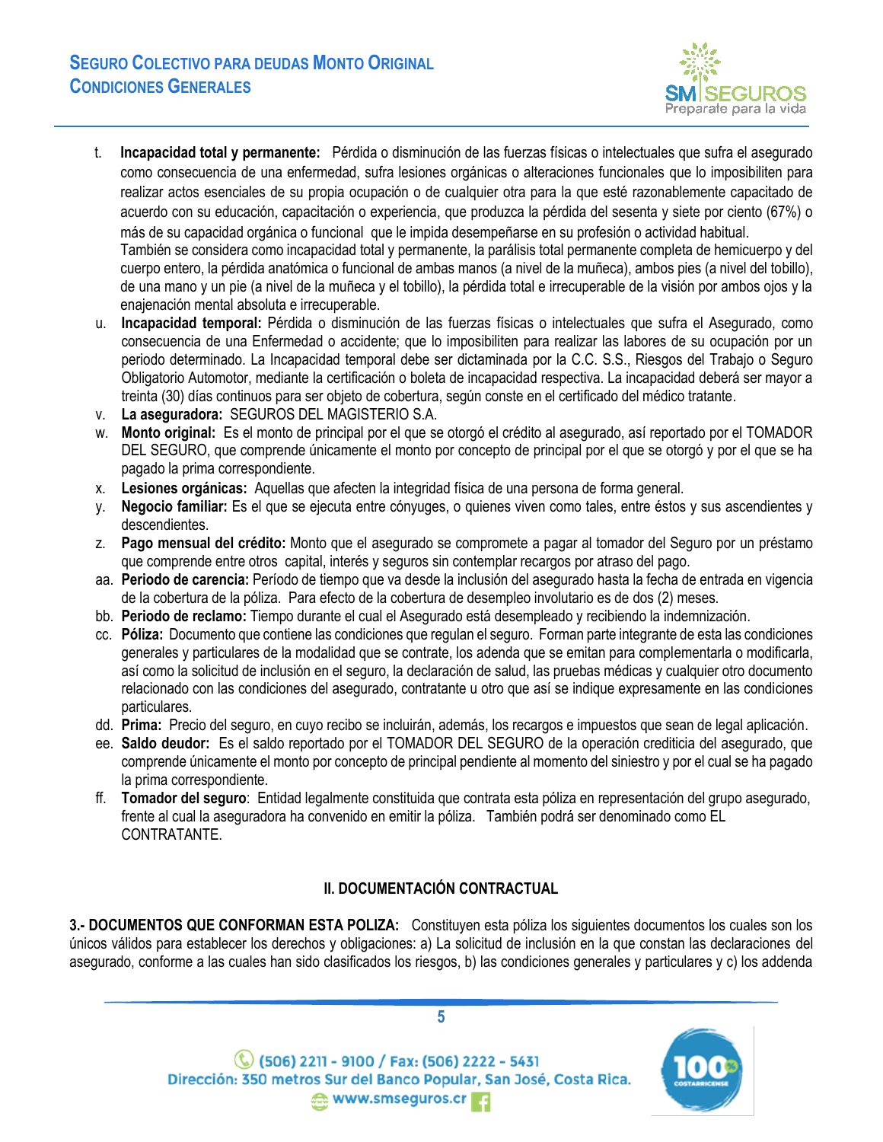

- t. **Incapacidad total y permanente:** Pérdida o disminución de las fuerzas físicas o intelectuales que sufra el asegurado como consecuencia de una enfermedad, sufra lesiones orgánicas o alteraciones funcionales que lo imposibiliten para realizar actos esenciales de su propia ocupación o de cualquier otra para la que esté razonablemente capacitado de acuerdo con su educación, capacitación o experiencia, que produzca la pérdida del sesenta y siete por ciento (67%) o más de su capacidad orgánica o funcional que le impida desempeñarse en su profesión o actividad habitual. También se considera como incapacidad total y permanente, la parálisis total permanente completa de hemicuerpo y del cuerpo entero, la pérdida anatómica o funcional de ambas manos (a nivel de la muñeca), ambos pies (a nivel del tobillo), de una mano y un pie (a nivel de la muñeca y el tobillo), la pérdida total e irrecuperable de la visión por ambos ojos y la enajenación mental absoluta e irrecuperable.
- u. **Incapacidad temporal:** Pérdida o disminución de las fuerzas físicas o intelectuales que sufra el Asegurado, como consecuencia de una Enfermedad o accidente; que lo imposibiliten para realizar las labores de su ocupación por un periodo determinado. La Incapacidad temporal debe ser dictaminada por la C.C. S.S., Riesgos del Trabajo o Seguro Obligatorio Automotor, mediante la certificación o boleta de incapacidad respectiva. La incapacidad deberá ser mayor a treinta (30) días continuos para ser objeto de cobertura, según conste en el certificado del médico tratante.
- v. **La aseguradora:** SEGUROS DEL MAGISTERIO S.A.
- w. **Monto original:** Es el monto de principal por el que se otorgó el crédito al asegurado, así reportado por el TOMADOR DEL SEGURO, que comprende únicamente el monto por concepto de principal por el que se otorgó y por el que se ha pagado la prima correspondiente.
- x. **Lesiones orgánicas:** Aquellas que afecten la integridad física de una persona de forma general.
- y. **Negocio familiar:** Es el que se ejecuta entre cónyuges, o quienes viven como tales, entre éstos y sus ascendientes y descendientes.
- z. **Pago mensual del crédito:** Monto que el asegurado se compromete a pagar al tomador del Seguro por un préstamo que comprende entre otros capital, interés y seguros sin contemplar recargos por atraso del pago.
- aa. **Periodo de carencia:** Período de tiempo que va desde la inclusión del asegurado hasta la fecha de entrada en vigencia de la cobertura de la póliza. Para efecto de la cobertura de desempleo involutario es de dos (2) meses.
- bb. **Periodo de reclamo:** Tiempo durante el cual el Asegurado está desempleado y recibiendo la indemnización.
- cc. **Póliza:** Documento que contiene las condiciones que regulan el seguro. Forman parte integrante de esta las condiciones generales y particulares de la modalidad que se contrate, los adenda que se emitan para complementarla o modificarla, así como la solicitud de inclusión en el seguro, la declaración de salud, las pruebas médicas y cualquier otro documento relacionado con las condiciones del asegurado, contratante u otro que así se indique expresamente en las condiciones particulares.
- dd. **Prima:** Precio del seguro, en cuyo recibo se incluirán, además, los recargos e impuestos que sean de legal aplicación.
- ee. **Saldo deudor:** Es el saldo reportado por el TOMADOR DEL SEGURO de la operación crediticia del asegurado, que comprende únicamente el monto por concepto de principal pendiente al momento del siniestro y por el cual se ha pagado la prima correspondiente.
- ff. **Tomador del seguro**: Entidad legalmente constituida que contrata esta póliza en representación del grupo asegurado, frente al cual la aseguradora ha convenido en emitir la póliza. También podrá ser denominado como EL CONTRATANTE.

## **II. DOCUMENTACIÓN CONTRACTUAL**

<span id="page-4-1"></span><span id="page-4-0"></span>**3.- DOCUMENTOS QUE CONFORMAN ESTA POLIZA:** Constituyen esta póliza los siguientes documentos los cuales son los únicos válidos para establecer los derechos y obligaciones: a) La solicitud de inclusión en la que constan las declaraciones del asegurado, conforme a las cuales han sido clasificados los riesgos, b) las condiciones generales y particulares y c) los addenda



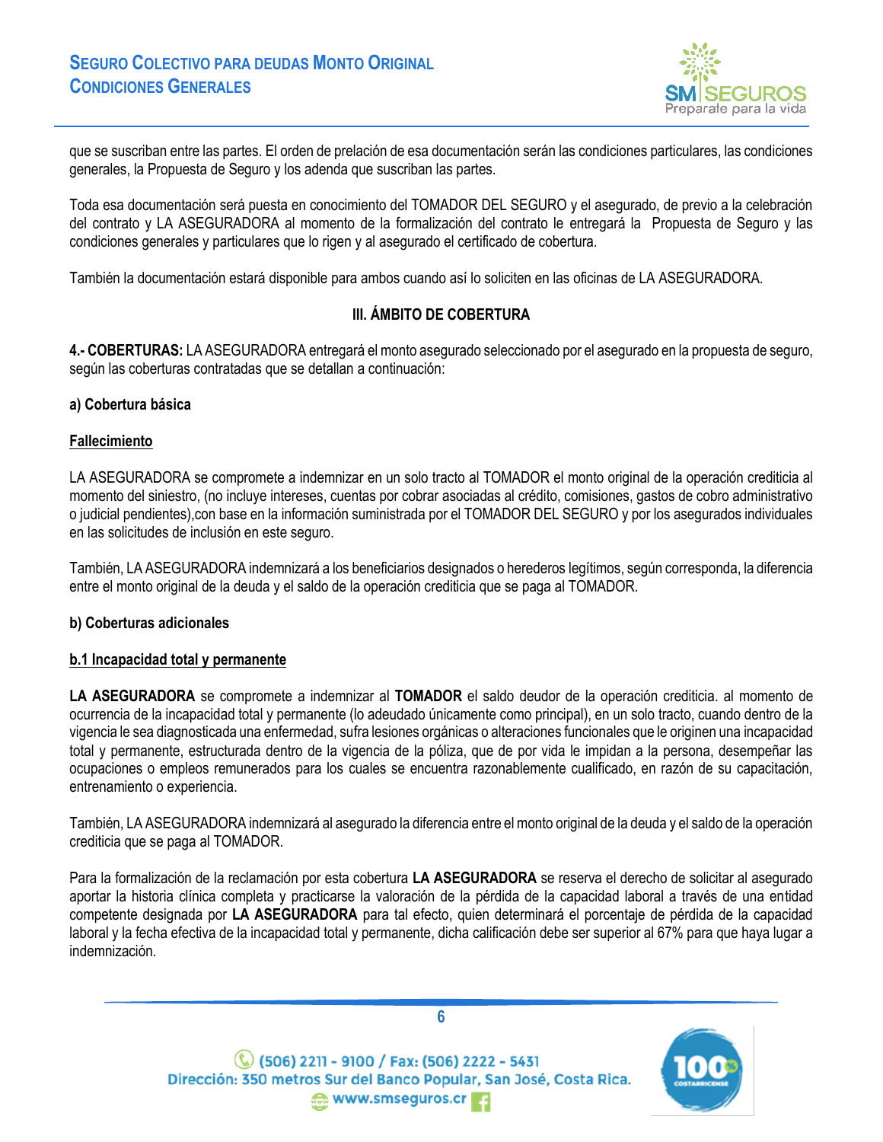

que se suscriban entre las partes. El orden de prelación de esa documentación serán las condiciones particulares, las condiciones generales, la Propuesta de Seguro y los adenda que suscriban las partes.

Toda esa documentación será puesta en conocimiento del TOMADOR DEL SEGURO y el asegurado, de previo a la celebración del contrato y LA ASEGURADORA al momento de la formalización del contrato le entregará la Propuesta de Seguro y las condiciones generales y particulares que lo rigen y al asegurado el certificado de cobertura.

<span id="page-5-0"></span>También la documentación estará disponible para ambos cuando así lo soliciten en las oficinas de LA ASEGURADORA.

## **III. ÁMBITO DE COBERTURA**

<span id="page-5-1"></span>**4.- COBERTURAS:** LA ASEGURADORA entregará el monto asegurado seleccionado por el asegurado en la propuesta de seguro, según las coberturas contratadas que se detallan a continuación:

#### **a) Cobertura básica**

#### **Fallecimiento**

LA ASEGURADORA se compromete a indemnizar en un solo tracto al TOMADOR el monto original de la operación crediticia al momento del siniestro, (no incluye intereses, cuentas por cobrar asociadas al crédito, comisiones, gastos de cobro administrativo o judicial pendientes),con base en la información suministrada por el TOMADOR DEL SEGURO y por los asegurados individuales en las solicitudes de inclusión en este seguro.

También, LA ASEGURADORA indemnizará a los beneficiarios designados o herederos legítimos, según corresponda, la diferencia entre el monto original de la deuda y el saldo de la operación crediticia que se paga al TOMADOR.

#### **b) Coberturas adicionales**

#### **b.1 Incapacidad total y permanente**

**LA ASEGURADORA** se compromete a indemnizar al **TOMADOR** el saldo deudor de la operación crediticia. al momento de ocurrencia de la incapacidad total y permanente (lo adeudado únicamente como principal), en un solo tracto, cuando dentro de la vigencia le sea diagnosticada una enfermedad, sufra lesiones orgánicas o alteraciones funcionales que le originen una incapacidad total y permanente, estructurada dentro de la vigencia de la póliza, que de por vida le impidan a la persona, desempeñar las ocupaciones o empleos remunerados para los cuales se encuentra razonablemente cualificado, en razón de su capacitación, entrenamiento o experiencia.

También, LA ASEGURADORA indemnizará al asegurado la diferencia entre el monto original de la deuda y el saldo de la operación crediticia que se paga al TOMADOR.

Para la formalización de la reclamación por esta cobertura **LA ASEGURADORA** se reserva el derecho de solicitar al asegurado aportar la historia clínica completa y practicarse la valoración de la pérdida de la capacidad laboral a través de una entidad competente designada por **LA ASEGURADORA** para tal efecto, quien determinará el porcentaje de pérdida de la capacidad laboral y la fecha efectiva de la incapacidad total y permanente, dicha calificación debe ser superior al 67% para que haya lugar a indemnización.



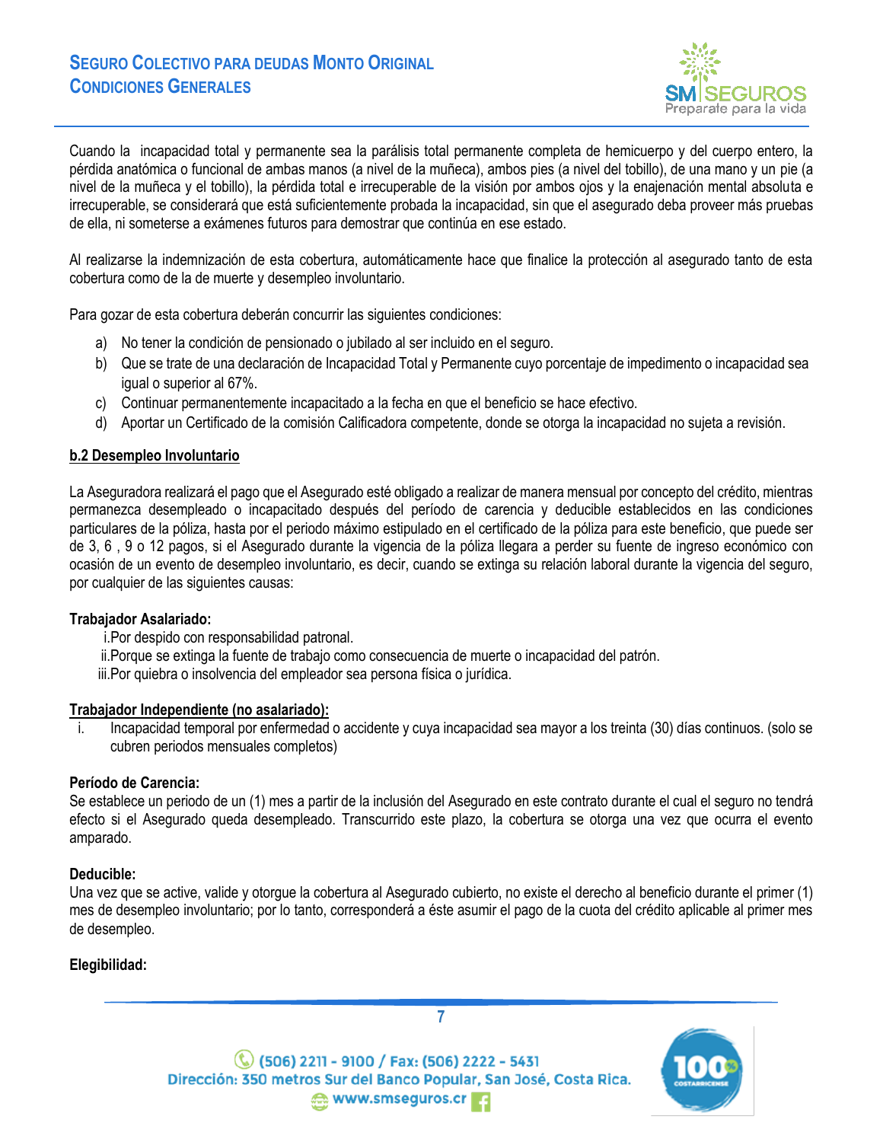

Cuando la incapacidad total y permanente sea la parálisis total permanente completa de hemicuerpo y del cuerpo entero, la pérdida anatómica o funcional de ambas manos (a nivel de la muñeca), ambos pies (a nivel del tobillo), de una mano y un pie (a nivel de la muñeca y el tobillo), la pérdida total e irrecuperable de la visión por ambos ojos y la enajenación mental absoluta e irrecuperable, se considerará que está suficientemente probada la incapacidad, sin que el asegurado deba proveer más pruebas de ella, ni someterse a exámenes futuros para demostrar que continúa en ese estado.

Al realizarse la indemnización de esta cobertura, automáticamente hace que finalice la protección al asegurado tanto de esta cobertura como de la de muerte y desempleo involuntario.

Para gozar de esta cobertura deberán concurrir las siguientes condiciones:

- a) No tener la condición de pensionado o jubilado al ser incluido en el seguro.
- b) Que se trate de una declaración de Incapacidad Total y Permanente cuyo porcentaje de impedimento o incapacidad sea igual o superior al 67%.
- c) Continuar permanentemente incapacitado a la fecha en que el beneficio se hace efectivo.
- d) Aportar un Certificado de la comisión Calificadora competente, donde se otorga la incapacidad no sujeta a revisión.

## **b.2 Desempleo Involuntario**

La Aseguradora realizará el pago que el Asegurado esté obligado a realizar de manera mensual por concepto del crédito, mientras permanezca desempleado o incapacitado después del período de carencia y deducible establecidos en las condiciones particulares de la póliza, hasta por el periodo máximo estipulado en el certificado de la póliza para este beneficio, que puede ser de 3, 6 , 9 o 12 pagos, si el Asegurado durante la vigencia de la póliza llegara a perder su fuente de ingreso económico con ocasión de un evento de desempleo involuntario, es decir, cuando se extinga su relación laboral durante la vigencia del seguro, por cualquier de las siguientes causas:

#### **Trabajador Asalariado:**

i.Por despido con responsabilidad patronal.

ii.Porque se extinga la fuente de trabajo como consecuencia de muerte o incapacidad del patrón.

iii.Por quiebra o insolvencia del empleador sea persona física o jurídica.

#### **Trabajador Independiente (no asalariado):**

i. Incapacidad temporal por enfermedad o accidente y cuya incapacidad sea mayor a los treinta (30) días continuos. (solo se cubren periodos mensuales completos)

## **Período de Carencia:**

Se establece un periodo de un (1) mes a partir de la inclusión del Asegurado en este contrato durante el cual el seguro no tendrá efecto si el Asegurado queda desempleado. Transcurrido este plazo, la cobertura se otorga una vez que ocurra el evento amparado.

## **Deducible:**

Una vez que se active, valide y otorgue la cobertura al Asegurado cubierto, no existe el derecho al beneficio durante el primer (1) mes de desempleo involuntario; por lo tanto, corresponderá a éste asumir el pago de la cuota del crédito aplicable al primer mes de desempleo.

## **Elegibilidad:**



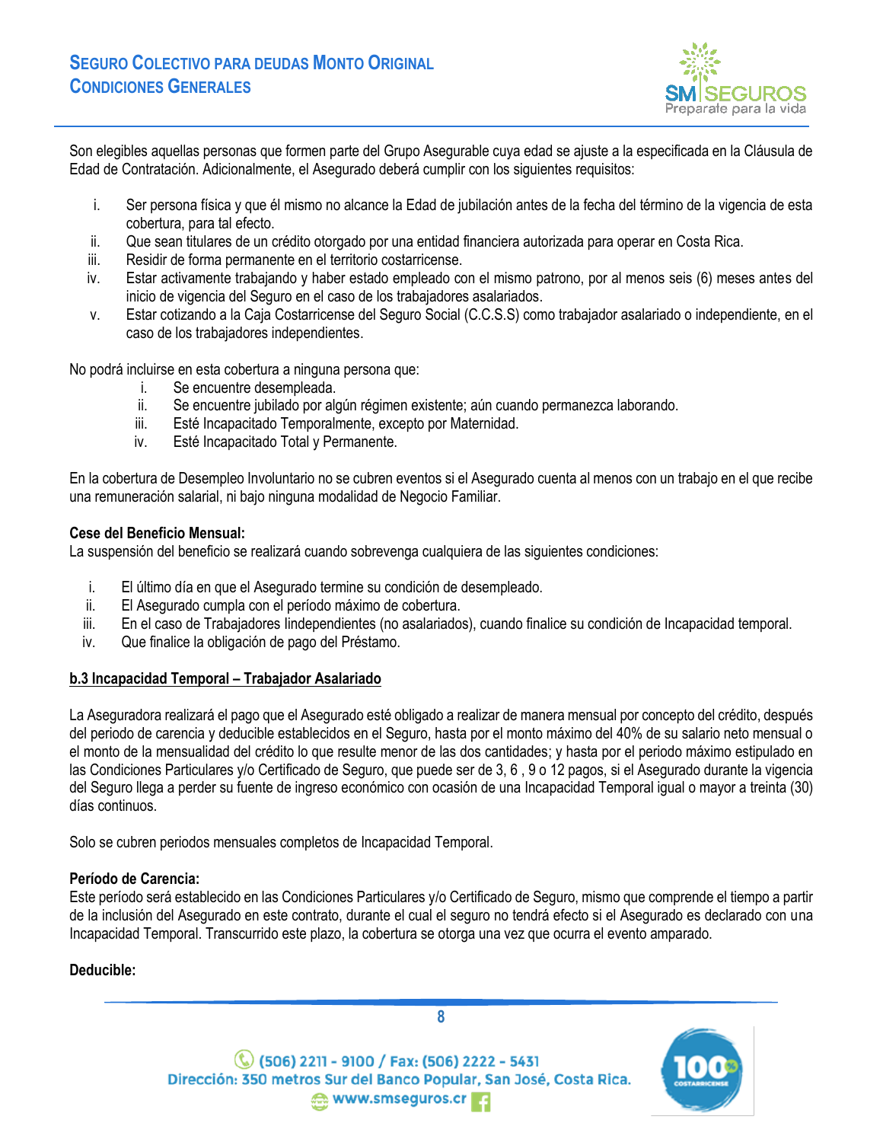

Son elegibles aquellas personas que formen parte del Grupo Asegurable cuya edad se ajuste a la especificada en la Cláusula de Edad de Contratación. Adicionalmente, el Asegurado deberá cumplir con los siguientes requisitos:

- i. Ser persona física y que él mismo no alcance la Edad de jubilación antes de la fecha del término de la vigencia de esta cobertura, para tal efecto.
- ii. Que sean titulares de un crédito otorgado por una entidad financiera autorizada para operar en Costa Rica.
- iii. Residir de forma permanente en el territorio costarricense.
- iv. Estar activamente trabajando y haber estado empleado con el mismo patrono, por al menos seis (6) meses antes del inicio de vigencia del Seguro en el caso de los trabajadores asalariados.
- v. Estar cotizando a la Caja Costarricense del Seguro Social (C.C.S.S) como trabajador asalariado o independiente, en el caso de los trabajadores independientes.

No podrá incluirse en esta cobertura a ninguna persona que:

- i. Se encuentre desempleada.
- ii. Se encuentre jubilado por algún régimen existente; aún cuando permanezca laborando.
- iii. Esté Incapacitado Temporalmente, excepto por Maternidad.
- iv. Esté Incapacitado Total y Permanente.

En la cobertura de Desempleo Involuntario no se cubren eventos si el Asegurado cuenta al menos con un trabajo en el que recibe una remuneración salarial, ni bajo ninguna modalidad de Negocio Familiar.

### **Cese del Beneficio Mensual:**

La suspensión del beneficio se realizará cuando sobrevenga cualquiera de las siguientes condiciones:

- i. El último día en que el Asegurado termine su condición de desempleado.
- ii. El Asegurado cumpla con el período máximo de cobertura.
- iii. En el caso de Trabajadores Iindependientes (no asalariados), cuando finalice su condición de Incapacidad temporal.
- iv. Que finalice la obligación de pago del Préstamo.

## **b.3 Incapacidad Temporal – Trabajador Asalariado**

La Aseguradora realizará el pago que el Asegurado esté obligado a realizar de manera mensual por concepto del crédito, después del periodo de carencia y deducible establecidos en el Seguro, hasta por el monto máximo del 40% de su salario neto mensual o el monto de la mensualidad del crédito lo que resulte menor de las dos cantidades; y hasta por el periodo máximo estipulado en las Condiciones Particulares y/o Certificado de Seguro, que puede ser de 3, 6 , 9 o 12 pagos, si el Asegurado durante la vigencia del Seguro llega a perder su fuente de ingreso económico con ocasión de una Incapacidad Temporal igual o mayor a treinta (30) días continuos.

Solo se cubren periodos mensuales completos de Incapacidad Temporal.

#### **Período de Carencia:**

Este período será establecido en las Condiciones Particulares y/o Certificado de Seguro, mismo que comprende el tiempo a partir de la inclusión del Asegurado en este contrato, durante el cual el seguro no tendrá efecto si el Asegurado es declarado con una Incapacidad Temporal. Transcurrido este plazo, la cobertura se otorga una vez que ocurra el evento amparado.

## **Deducible:**



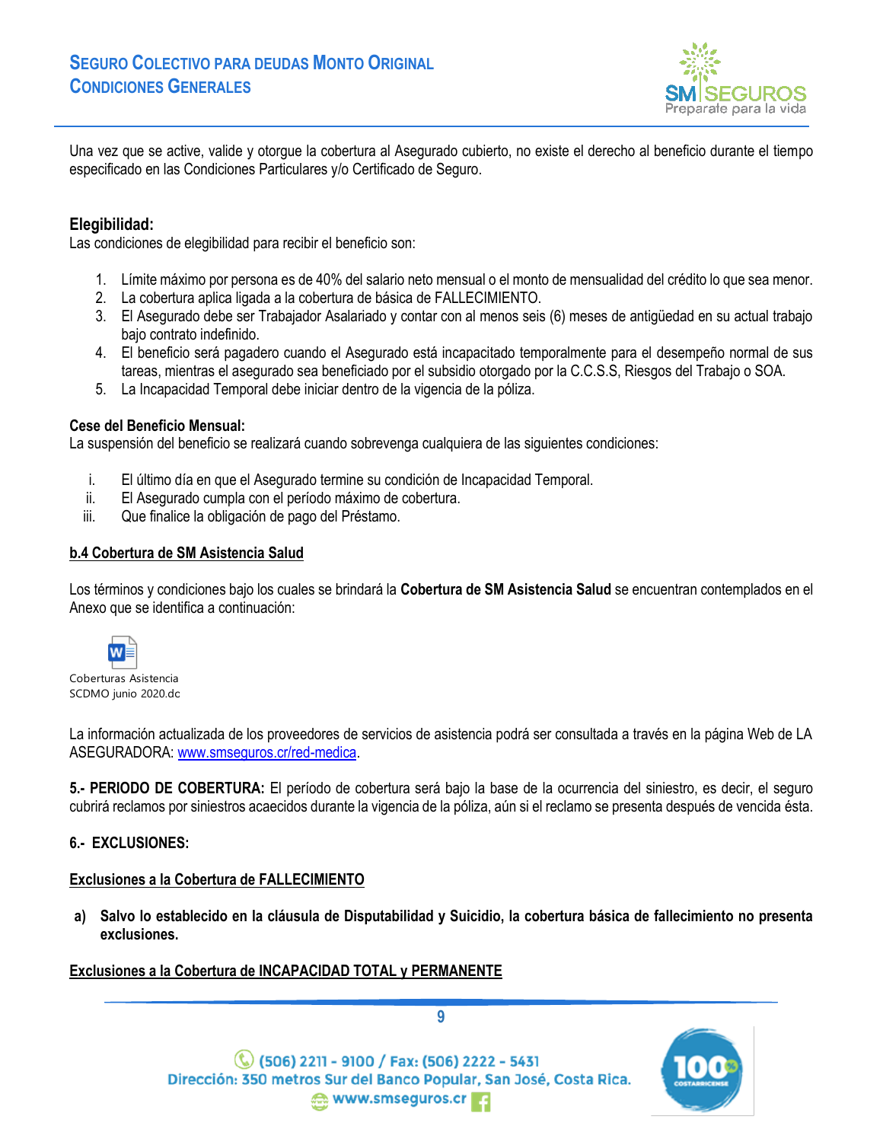

Una vez que se active, valide y otorgue la cobertura al Asegurado cubierto, no existe el derecho al beneficio durante el tiempo especificado en las Condiciones Particulares y/o Certificado de Seguro.

## **Elegibilidad:**

Las condiciones de elegibilidad para recibir el beneficio son:

- 1. Límite máximo por persona es de 40% del salario neto mensual o el monto de mensualidad del crédito lo que sea menor.
- 2. La cobertura aplica ligada a la cobertura de básica de FALLECIMIENTO.
- 3. El Asegurado debe ser Trabajador Asalariado y contar con al menos seis (6) meses de antigüedad en su actual trabajo bajo contrato indefinido.
- 4. El beneficio será pagadero cuando el Asegurado está incapacitado temporalmente para el desempeño normal de sus tareas, mientras el asegurado sea beneficiado por el subsidio otorgado por la C.C.S.S, Riesgos del Trabajo o SOA.
- 5. La Incapacidad Temporal debe iniciar dentro de la vigencia de la póliza.

### **Cese del Beneficio Mensual:**

La suspensión del beneficio se realizará cuando sobrevenga cualquiera de las siguientes condiciones:

- i. El último día en que el Asegurado termine su condición de Incapacidad Temporal.
- ii. El Asegurado cumpla con el período máximo de cobertura.
- iii. Que finalice la obligación de pago del Préstamo.

## **b.4 Cobertura de SM Asistencia Salud**

Los términos y condiciones bajo los cuales se brindará la **Cobertura de SM Asistencia Salud** se encuentran contemplados en el Anexo que se identifica a continuación:



Coberturas Asistencia SCDMO junio 2020.dc

La información actualizada de los proveedores de servicios de asistencia podrá ser consultada a través en la página Web de LA ASEGURADORA: [www.smseguros.cr/red-medica.](about:blank)

<span id="page-8-0"></span>**5.- PERIODO DE COBERTURA:** El período de cobertura será bajo la base de la ocurrencia del siniestro, es decir, el seguro cubrirá reclamos por siniestros acaecidos durante la vigencia de la póliza, aún si el reclamo se presenta después de vencida ésta.

## <span id="page-8-1"></span>**6.- EXCLUSIONES:**

## **Exclusiones a la Cobertura de FALLECIMIENTO**

**a) Salvo lo establecido en la cláusula de Disputabilidad y Suicidio, la cobertura básica de fallecimiento no presenta exclusiones.**

## **Exclusiones a la Cobertura de INCAPACIDAD TOTAL y PERMANENTE**



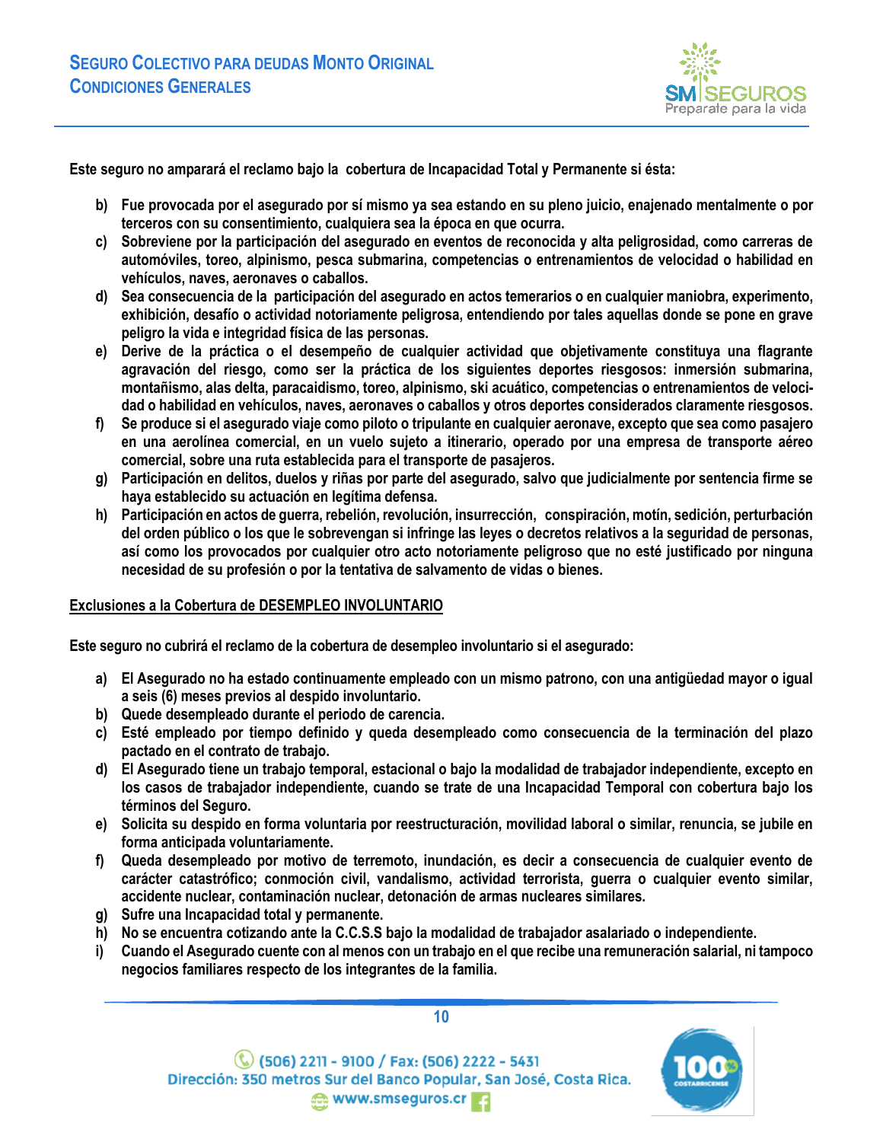

**Este seguro no amparará el reclamo bajo la cobertura de Incapacidad Total y Permanente si ésta:**

- **b) Fue provocada por el asegurado por sí mismo ya sea estando en su pleno juicio, enajenado mentalmente o por terceros con su consentimiento, cualquiera sea la época en que ocurra.**
- **c) Sobreviene por la participación del asegurado en eventos de reconocida y alta peligrosidad, como carreras de automóviles, toreo, alpinismo, pesca submarina, competencias o entrenamientos de velocidad o habilidad en vehículos, naves, aeronaves o caballos.**
- **d) Sea consecuencia de la participación del asegurado en actos temerarios o en cualquier maniobra, experimento, exhibición, desafío o actividad notoriamente peligrosa, entendiendo por tales aquellas donde se pone en grave peligro la vida e integridad física de las personas.**
- **e) Derive de la práctica o el desempeño de cualquier actividad que objetivamente constituya una flagrante agravación del riesgo, como ser la práctica de los siguientes deportes riesgosos: inmersión submarina, montañismo, alas delta, paracaidismo, toreo, alpinismo, ski acuático, competencias o entrenamientos de velocidad o habilidad en vehículos, naves, aeronaves o caballos y otros deportes considerados claramente riesgosos.**
- **f) Se produce si el asegurado viaje como piloto o tripulante en cualquier aeronave, excepto que sea como pasajero en una aerolínea comercial, en un vuelo sujeto a itinerario, operado por una empresa de transporte aéreo comercial, sobre una ruta establecida para el transporte de pasajeros.**
- **g) Participación en delitos, duelos y riñas por parte del asegurado, salvo que judicialmente por sentencia firme se haya establecido su actuación en legítima defensa.**
- **h) Participación en actos de guerra, rebelión, revolución, insurrección, conspiración, motín, sedición, perturbación del orden público o los que le sobrevengan si infringe las leyes o decretos relativos a la seguridad de personas, así como los provocados por cualquier otro acto notoriamente peligroso que no esté justificado por ninguna necesidad de su profesión o por la tentativa de salvamento de vidas o bienes.**

#### **Exclusiones a la Cobertura de DESEMPLEO INVOLUNTARIO**

**Este seguro no cubrirá el reclamo de la cobertura de desempleo involuntario si el asegurado:**

- **a) El Asegurado no ha estado continuamente empleado con un mismo patrono, con una antigüedad mayor o igual a seis (6) meses previos al despido involuntario.**
- **b) Quede desempleado durante el periodo de carencia.**
- **c) Esté empleado por tiempo definido y queda desempleado como consecuencia de la terminación del plazo pactado en el contrato de trabajo.**
- **d) El Asegurado tiene un trabajo temporal, estacional o bajo la modalidad de trabajador independiente, excepto en los casos de trabajador independiente, cuando se trate de una Incapacidad Temporal con cobertura bajo los términos del Seguro.**
- **e) Solicita su despido en forma voluntaria por reestructuración, movilidad laboral o similar, renuncia, se jubile en forma anticipada voluntariamente.**
- **f) Queda desempleado por motivo de terremoto, inundación, es decir a consecuencia de cualquier evento de carácter catastrófico; conmoción civil, vandalismo, actividad terrorista, guerra o cualquier evento similar, accidente nuclear, contaminación nuclear, detonación de armas nucleares similares.**
- **g) Sufre una Incapacidad total y permanente.**
- **h) No se encuentra cotizando ante la C.C.S.S bajo la modalidad de trabajador asalariado o independiente.**
- **i) Cuando el Asegurado cuente con al menos con un trabajo en el que recibe una remuneración salarial, ni tampoco negocios familiares respecto de los integrantes de la familia.**



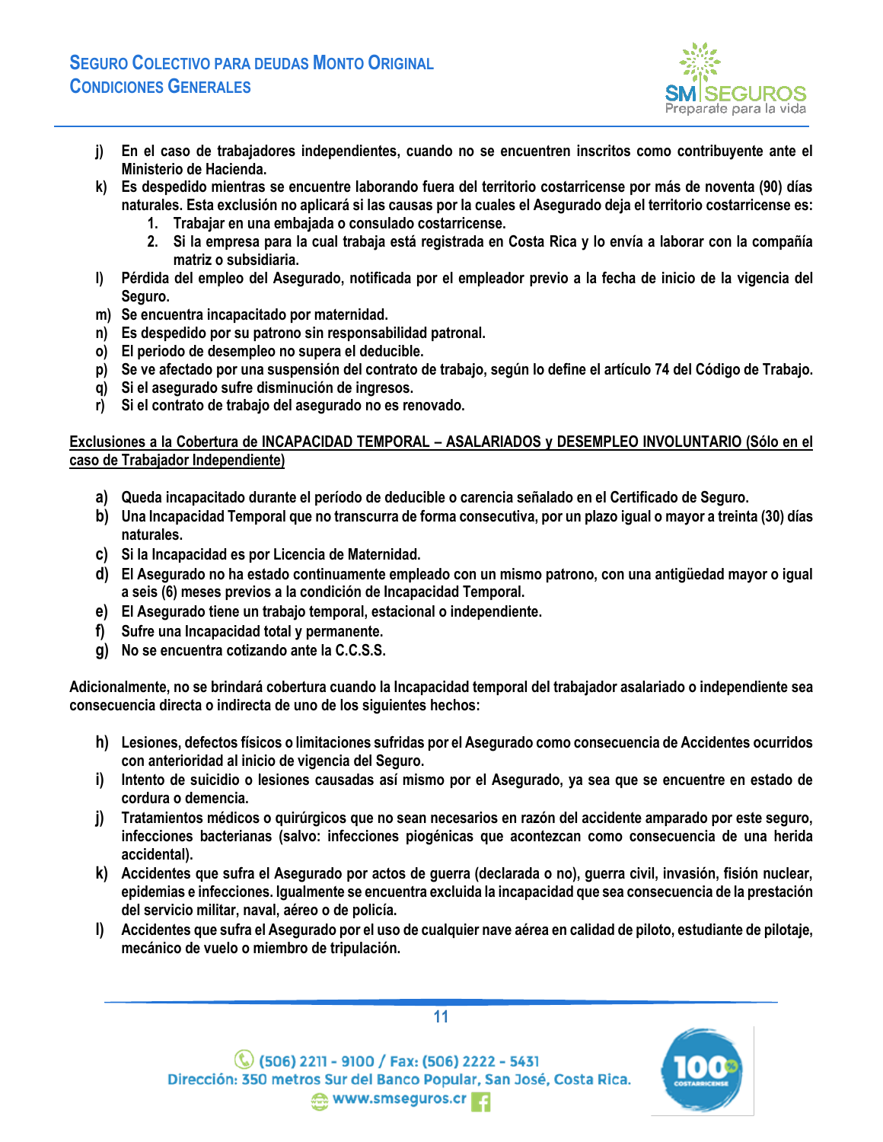

- **j) En el caso de trabajadores independientes, cuando no se encuentren inscritos como contribuyente ante el Ministerio de Hacienda.**
- **k) Es despedido mientras se encuentre laborando fuera del territorio costarricense por más de noventa (90) días naturales. Esta exclusión no aplicará si las causas por la cuales el Asegurado deja el territorio costarricense es:**
	- **1. Trabajar en una embajada o consulado costarricense.**
	- **2. Si la empresa para la cual trabaja está registrada en Costa Rica y lo envía a laborar con la compañía matriz o subsidiaria.**
- **l) Pérdida del empleo del Asegurado, notificada por el empleador previo a la fecha de inicio de la vigencia del Seguro.**
- **m) Se encuentra incapacitado por maternidad.**
- **n) Es despedido por su patrono sin responsabilidad patronal.**
- **o) El periodo de desempleo no supera el deducible.**
- **p) Se ve afectado por una suspensión del contrato de trabajo, según lo define el artículo 74 del Código de Trabajo.**
- **q) Si el asegurado sufre disminución de ingresos.**
- **r) Si el contrato de trabajo del asegurado no es renovado.**

### **Exclusiones a la Cobertura de INCAPACIDAD TEMPORAL – ASALARIADOS y DESEMPLEO INVOLUNTARIO (Sólo en el caso de Trabajador Independiente)**

- **a) Queda incapacitado durante el período de deducible o carencia señalado en el Certificado de Seguro.**
- **b) Una Incapacidad Temporal que no transcurra de forma consecutiva, por un plazo igual o mayor a treinta (30) días naturales.**
- **c) Si la Incapacidad es por Licencia de Maternidad.**
- **d) El Asegurado no ha estado continuamente empleado con un mismo patrono, con una antigüedad mayor o igual a seis (6) meses previos a la condición de Incapacidad Temporal.**
- **e) El Asegurado tiene un trabajo temporal, estacional o independiente.**
- **f) Sufre una Incapacidad total y permanente.**
- **g) No se encuentra cotizando ante la C.C.S.S.**

**Adicionalmente, no se brindará cobertura cuando la Incapacidad temporal del trabajador asalariado o independiente sea consecuencia directa o indirecta de uno de los siguientes hechos:**

- **h) Lesiones, defectos físicos o limitaciones sufridas por el Asegurado como consecuencia de Accidentes ocurridos con anterioridad al inicio de vigencia del Seguro.**
- **i) Intento de suicidio o lesiones causadas así mismo por el Asegurado, ya sea que se encuentre en estado de cordura o demencia.**
- **j) Tratamientos médicos o quirúrgicos que no sean necesarios en razón del accidente amparado por este seguro, infecciones bacterianas (salvo: infecciones piogénicas que acontezcan como consecuencia de una herida accidental).**
- **k) Accidentes que sufra el Asegurado por actos de guerra (declarada o no), guerra civil, invasión, fisión nuclear, epidemias e infecciones. Igualmente se encuentra excluida la incapacidad que sea consecuencia de la prestación del servicio militar, naval, aéreo o de policía.**
- **l) Accidentes que sufra el Asegurado por el uso de cualquier nave aérea en calidad de piloto, estudiante de pilotaje, mecánico de vuelo o miembro de tripulación.**



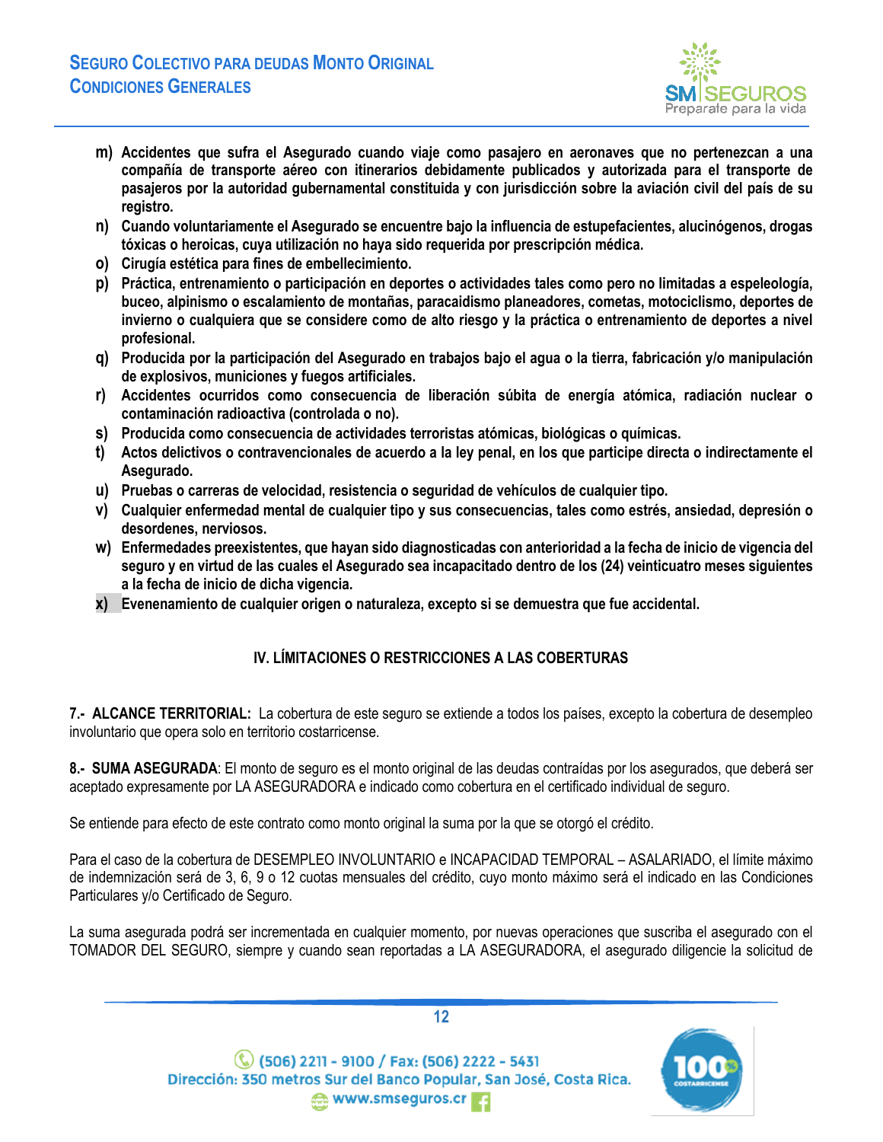

- **m) Accidentes que sufra el Asegurado cuando viaje como pasajero en aeronaves que no pertenezcan a una compañía de transporte aéreo con itinerarios debidamente publicados y autorizada para el transporte de pasajeros por la autoridad gubernamental constituida y con jurisdicción sobre la aviación civil del país de su registro.**
- **n) Cuando voluntariamente el Asegurado se encuentre bajo la influencia de estupefacientes, alucinógenos, drogas tóxicas o heroicas, cuya utilización no haya sido requerida por prescripción médica.**
- **o) Cirugía estética para fines de embellecimiento.**
- **p) Práctica, entrenamiento o participación en deportes o actividades tales como pero no limitadas a espeleología, buceo, alpinismo o escalamiento de montañas, paracaidismo planeadores, cometas, motociclismo, deportes de invierno o cualquiera que se considere como de alto riesgo y la práctica o entrenamiento de deportes a nivel profesional.**
- **q) Producida por la participación del Asegurado en trabajos bajo el agua o la tierra, fabricación y/o manipulación de explosivos, municiones y fuegos artificiales.**
- **r) Accidentes ocurridos como consecuencia de liberación súbita de energía atómica, radiación nuclear o contaminación radioactiva (controlada o no).**
- **s) Producida como consecuencia de actividades terroristas atómicas, biológicas o químicas.**
- **t) Actos delictivos o contravencionales de acuerdo a la ley penal, en los que participe directa o indirectamente el Asegurado.**
- **u) Pruebas o carreras de velocidad, resistencia o seguridad de vehículos de cualquier tipo.**
- **v) Cualquier enfermedad mental de cualquier tipo y sus consecuencias, tales como estrés, ansiedad, depresión o desordenes, nerviosos.**
- **w) Enfermedades preexistentes, que hayan sido diagnosticadas con anterioridad a la fecha de inicio de vigencia del seguro y en virtud de las cuales el Asegurado sea incapacitado dentro de los (24) veinticuatro meses siguientes a la fecha de inicio de dicha vigencia.**
- **x) Evenenamiento de cualquier origen o naturaleza, excepto si se demuestra que fue accidental.**

# **IV. LÍMITACIONES O RESTRICCIONES A LAS COBERTURAS**

<span id="page-11-1"></span><span id="page-11-0"></span>**7.- ALCANCE TERRITORIAL:** La cobertura de este seguro se extiende a todos los países, excepto la cobertura de desempleo involuntario que opera solo en territorio costarricense.

<span id="page-11-2"></span>**8.- SUMA ASEGURADA**: El monto de seguro es el monto original de las deudas contraídas por los asegurados, que deberá ser aceptado expresamente por LA ASEGURADORA e indicado como cobertura en el certificado individual de seguro.

Se entiende para efecto de este contrato como monto original la suma por la que se otorgó el crédito.

Para el caso de la cobertura de DESEMPLEO INVOLUNTARIO e INCAPACIDAD TEMPORAL – ASALARIADO, el límite máximo de indemnización será de 3, 6, 9 o 12 cuotas mensuales del crédito, cuyo monto máximo será el indicado en las Condiciones Particulares y/o Certificado de Seguro.

La suma asegurada podrá ser incrementada en cualquier momento, por nuevas operaciones que suscriba el asegurado con el TOMADOR DEL SEGURO, siempre y cuando sean reportadas a LA ASEGURADORA, el asegurado diligencie la solicitud de

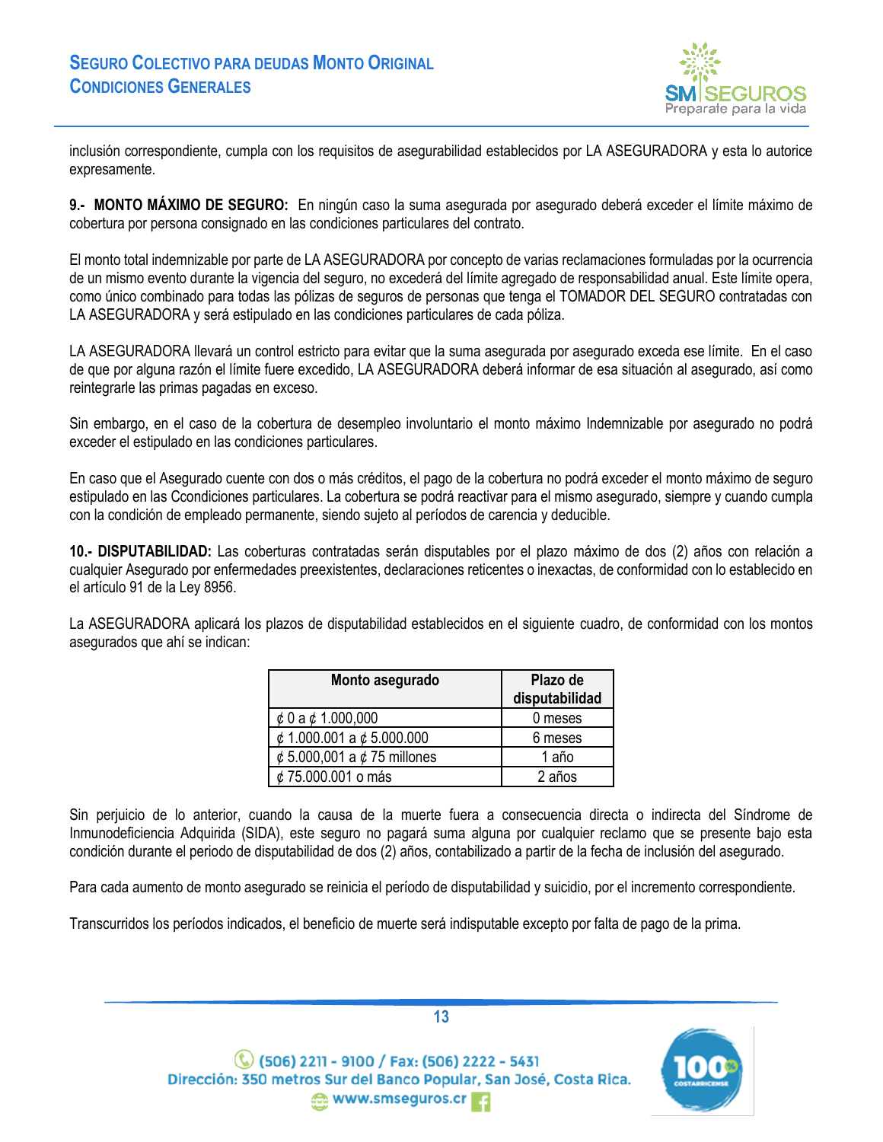

inclusión correspondiente, cumpla con los requisitos de asegurabilidad establecidos por LA ASEGURADORA y esta lo autorice expresamente.

<span id="page-12-0"></span>**9.- MONTO MÁXIMO DE SEGURO:** En ningún caso la suma asegurada por asegurado deberá exceder el límite máximo de cobertura por persona consignado en las condiciones particulares del contrato.

El monto total indemnizable por parte de LA ASEGURADORA por concepto de varias reclamaciones formuladas por la ocurrencia de un mismo evento durante la vigencia del seguro, no excederá del límite agregado de responsabilidad anual. Este límite opera, como único combinado para todas las pólizas de seguros de personas que tenga el TOMADOR DEL SEGURO contratadas con LA ASEGURADORA y será estipulado en las condiciones particulares de cada póliza.

LA ASEGURADORA llevará un control estricto para evitar que la suma asegurada por asegurado exceda ese límite. En el caso de que por alguna razón el límite fuere excedido, LA ASEGURADORA deberá informar de esa situación al asegurado, así como reintegrarle las primas pagadas en exceso.

Sin embargo, en el caso de la cobertura de desempleo involuntario el monto máximo Indemnizable por asegurado no podrá exceder el estipulado en las condiciones particulares.

En caso que el Asegurado cuente con dos o más créditos, el pago de la cobertura no podrá exceder el monto máximo de seguro estipulado en las Ccondiciones particulares. La cobertura se podrá reactivar para el mismo asegurado, siempre y cuando cumpla con la condición de empleado permanente, siendo sujeto al períodos de carencia y deducible.

<span id="page-12-1"></span>**10.- DISPUTABILIDAD:** Las coberturas contratadas serán disputables por el plazo máximo de dos (2) años con relación a cualquier Asegurado por enfermedades preexistentes, declaraciones reticentes o inexactas, de conformidad con lo establecido en el artículo 91 de la Ley 8956.

La ASEGURADORA aplicará los plazos de disputabilidad establecidos en el siguiente cuadro, de conformidad con los montos asegurados que ahí se indican:

| Monto asegurado                       | Plazo de<br>disputabilidad |
|---------------------------------------|----------------------------|
| $\phi$ 0 a $\phi$ 1.000,000           | 0 meses                    |
| $\phi$ 1.000.001 a $\phi$ 5.000.000   | 6 meses                    |
| $\phi$ 5.000,001 a $\phi$ 75 millones | 1 año                      |
| ¢ 75.000.001 o más                    | 2 años                     |

Sin perjuicio de lo anterior, cuando la causa de la muerte fuera a consecuencia directa o indirecta del Síndrome de Inmunodeficiencia Adquirida (SIDA), este seguro no pagará suma alguna por cualquier reclamo que se presente bajo esta condición durante el periodo de disputabilidad de dos (2) años, contabilizado a partir de la fecha de inclusión del asegurado.

Para cada aumento de monto asegurado se reinicia el período de disputabilidad y suicidio, por el incremento correspondiente.

Transcurridos los períodos indicados, el beneficio de muerte será indisputable excepto por falta de pago de la prima.

 $\mathbb{C}$  (506) 2211 - 9100 / Fax: (506) 2222 - 5431 Dirección: 350 metros Sur del Banco Popular, San José, Costa Rica. www.smseguros.cr

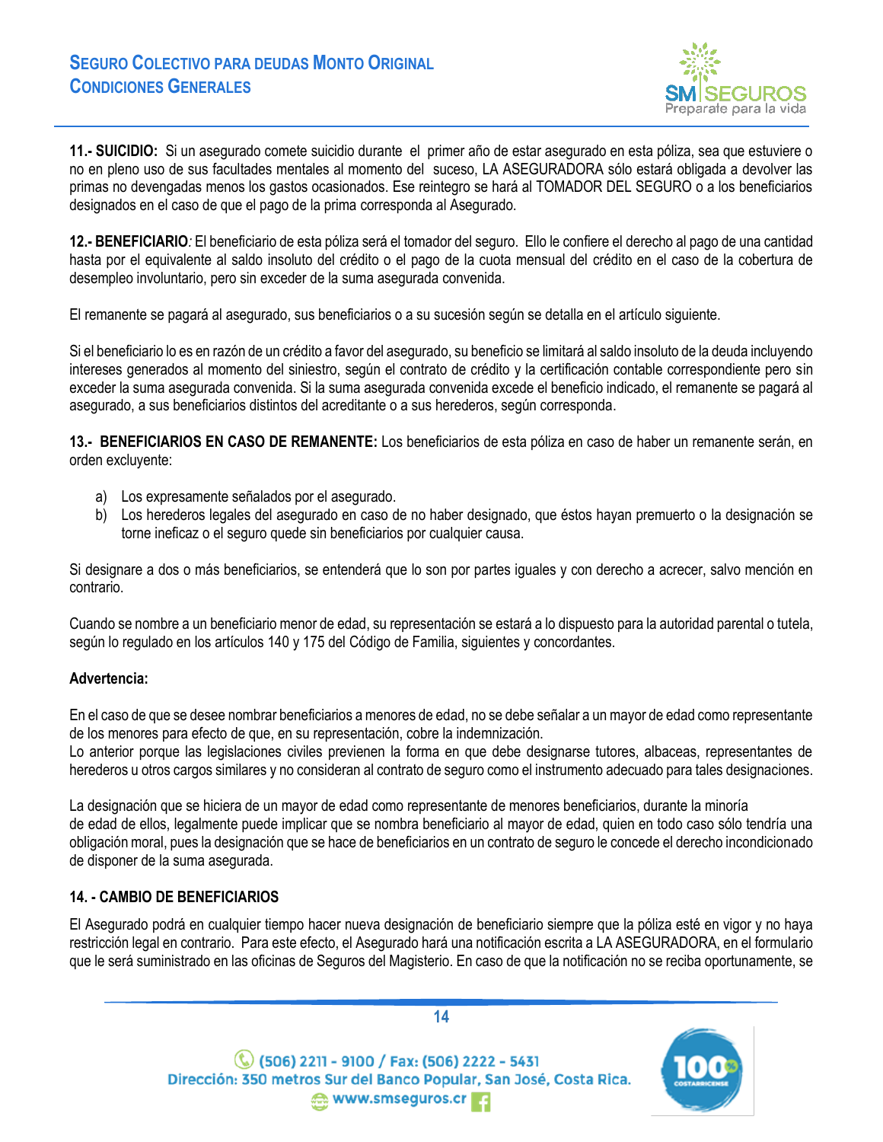

<span id="page-13-0"></span>**11.- SUICIDIO:** Si un asegurado comete suicidio durante el primer año de estar asegurado en esta póliza, sea que estuviere o no en pleno uso de sus facultades mentales al momento del suceso, LA ASEGURADORA sólo estará obligada a devolver las primas no devengadas menos los gastos ocasionados. Ese reintegro se hará al TOMADOR DEL SEGURO o a los beneficiarios designados en el caso de que el pago de la prima corresponda al Asegurado.

<span id="page-13-1"></span>**12.- BENEFICIARIO***:* El beneficiario de esta póliza será el tomador del seguro. Ello le confiere el derecho al pago de una cantidad hasta por el equivalente al saldo insoluto del crédito o el pago de la cuota mensual del crédito en el caso de la cobertura de desempleo involuntario, pero sin exceder de la suma asegurada convenida.

El remanente se pagará al asegurado, sus beneficiarios o a su sucesión según se detalla en el artículo siguiente.

Si el beneficiario lo es en razón de un crédito a favor del asegurado, su beneficio se limitará al saldo insoluto de la deuda incluyendo intereses generados al momento del siniestro, según el contrato de crédito y la certificación contable correspondiente pero sin exceder la suma asegurada convenida. Si la suma asegurada convenida excede el beneficio indicado, el remanente se pagará al asegurado, a sus beneficiarios distintos del acreditante o a sus herederos, según corresponda.

<span id="page-13-2"></span>**13.- BENEFICIARIOS EN CASO DE REMANENTE:** Los beneficiarios de esta póliza en caso de haber un remanente serán, en orden excluyente:

- a) Los expresamente señalados por el asegurado.
- b) Los herederos legales del asegurado en caso de no haber designado, que éstos hayan premuerto o la designación se torne ineficaz o el seguro quede sin beneficiarios por cualquier causa.

Si designare a dos o más beneficiarios, se entenderá que lo son por partes iguales y con derecho a acrecer, salvo mención en contrario.

Cuando se nombre a un beneficiario menor de edad, su representación se estará a lo dispuesto para la autoridad parental o tutela, según lo regulado en los artículos 140 y 175 del Código de Familia, siguientes y concordantes.

## **Advertencia:**

En el caso de que se desee nombrar beneficiarios a menores de edad, no se debe señalar a un mayor de edad como representante de los menores para efecto de que, en su representación, cobre la indemnización.

Lo anterior porque las legislaciones civiles previenen la forma en que debe designarse tutores, albaceas, representantes de herederos u otros cargos similares y no consideran al contrato de seguro como el instrumento adecuado para tales designaciones.

La designación que se hiciera de un mayor de edad como representante de menores beneficiarios, durante la minoría de edad de ellos, legalmente puede implicar que se nombra beneficiario al mayor de edad, quien en todo caso sólo tendría una obligación moral, pues la designación que se hace de beneficiarios en un contrato de seguro le concede el derecho incondicionado de disponer de la suma asegurada.

## <span id="page-13-3"></span>**14. - CAMBIO DE BENEFICIARIOS**

El Asegurado podrá en cualquier tiempo hacer nueva designación de beneficiario siempre que la póliza esté en vigor y no haya restricción legal en contrario. Para este efecto, el Asegurado hará una notificación escrita a LA ASEGURADORA, en el formulario que le será suministrado en las oficinas de Seguros del Magisterio. En caso de que la notificación no se reciba oportunamente, se

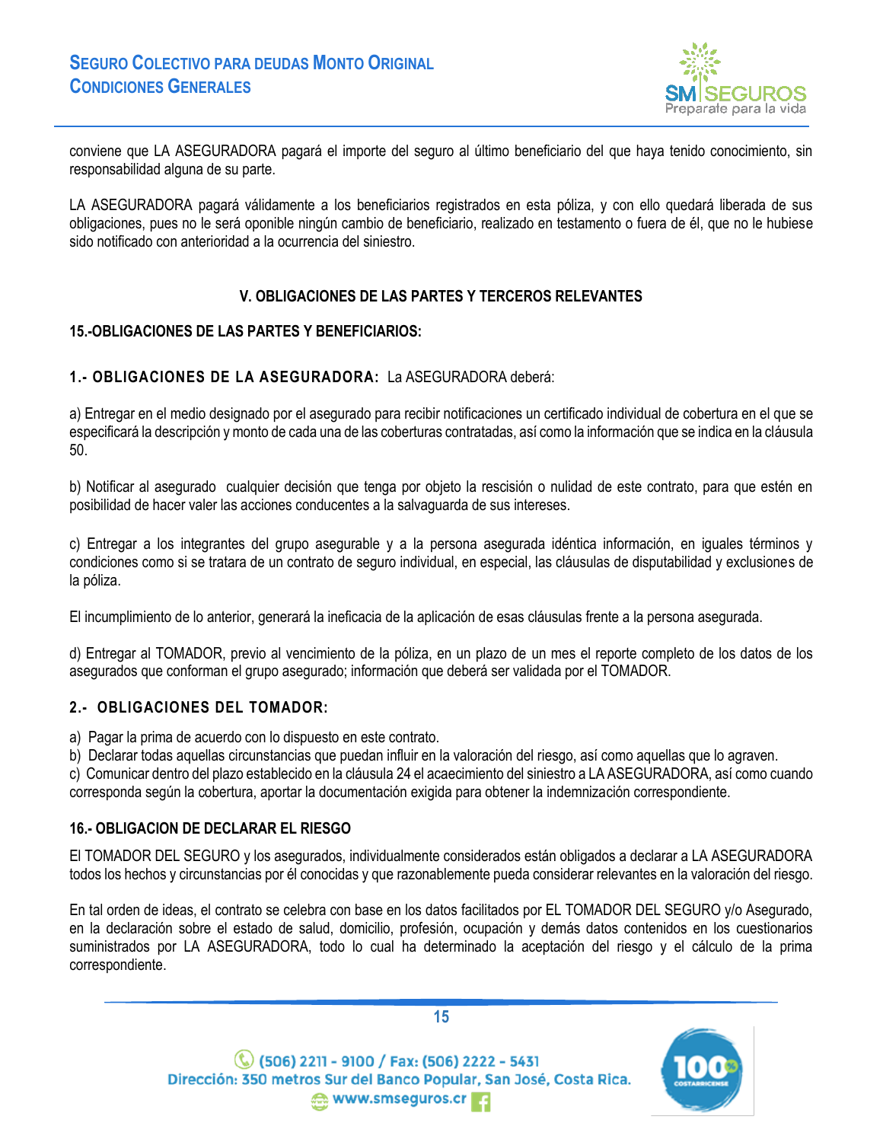

conviene que LA ASEGURADORA pagará el importe del seguro al último beneficiario del que haya tenido conocimiento, sin responsabilidad alguna de su parte.

LA ASEGURADORA pagará válidamente a los beneficiarios registrados en esta póliza, y con ello quedará liberada de sus obligaciones, pues no le será oponible ningún cambio de beneficiario, realizado en testamento o fuera de él, que no le hubiese sido notificado con anterioridad a la ocurrencia del siniestro.

### **V. OBLIGACIONES DE LAS PARTES Y TERCEROS RELEVANTES**

### <span id="page-14-1"></span><span id="page-14-0"></span>**15.-OBLIGACIONES DE LAS PARTES Y BENEFICIARIOS:**

### **1.- OBLIGACIONES DE LA ASEGURADORA:** La ASEGURADORA deberá:

a) Entregar en el medio designado por el asegurado para recibir notificaciones un certificado individual de cobertura en el que se especificará la descripción y monto de cada una de las coberturas contratadas, así como la información que se indica en la cláusula 50.

b) Notificar al asegurado cualquier decisión que tenga por objeto la rescisión o nulidad de este contrato, para que estén en posibilidad de hacer valer las acciones conducentes a la salvaguarda de sus intereses.

c) Entregar a los integrantes del grupo asegurable y a la persona asegurada idéntica información, en iguales términos y condiciones como si se tratara de un contrato de seguro individual, en especial, las cláusulas de disputabilidad y exclusiones de la póliza.

El incumplimiento de lo anterior, generará la ineficacia de la aplicación de esas cláusulas frente a la persona asegurada.

d) Entregar al TOMADOR, previo al vencimiento de la póliza, en un plazo de un mes el reporte completo de los datos de los asegurados que conforman el grupo asegurado; información que deberá ser validada por el TOMADOR.

#### **2.- OBLIGACIONES DEL TOMADOR:**

a) Pagar la prima de acuerdo con lo dispuesto en este contrato.

b) Declarar todas aquellas circunstancias que puedan influir en la valoración del riesgo, así como aquellas que lo agraven.

c) Comunicar dentro del plazo establecido en la cláusula 24 el acaecimiento del siniestro a LA ASEGURADORA, así como cuando corresponda según la cobertura, aportar la documentación exigida para obtener la indemnización correspondiente.

#### <span id="page-14-2"></span>**16.- OBLIGACION DE DECLARAR EL RIESGO**

El TOMADOR DEL SEGURO y los asegurados, individualmente considerados están obligados a declarar a LA ASEGURADORA todos los hechos y circunstancias por él conocidas y que razonablemente pueda considerar relevantes en la valoración del riesgo.

En tal orden de ideas, el contrato se celebra con base en los datos facilitados por EL TOMADOR DEL SEGURO y/o Asegurado, en la declaración sobre el estado de salud, domicilio, profesión, ocupación y demás datos contenidos en los cuestionarios suministrados por LA ASEGURADORA, todo lo cual ha determinado la aceptación del riesgo y el cálculo de la prima correspondiente.



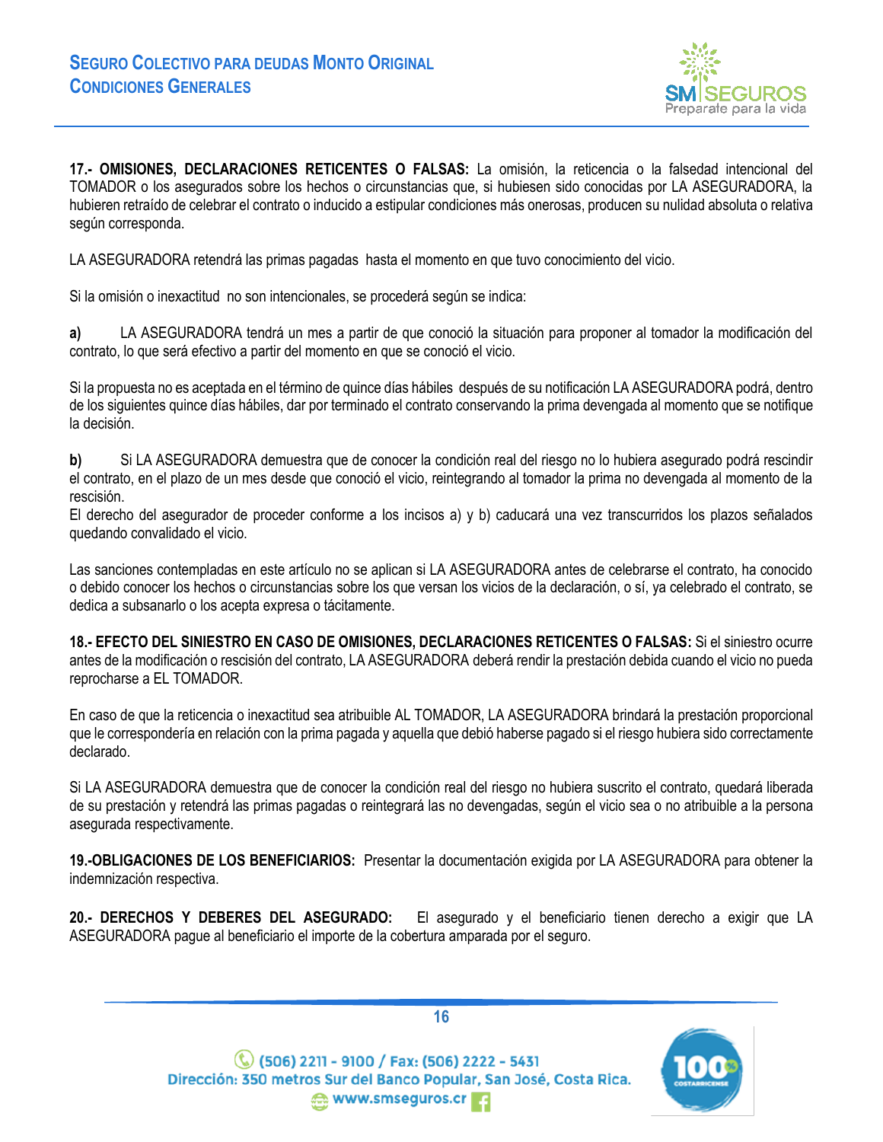

<span id="page-15-0"></span>**17.- OMISIONES, DECLARACIONES RETICENTES O FALSAS:** La omisión, la reticencia o la falsedad intencional del TOMADOR o los asegurados sobre los hechos o circunstancias que, si hubiesen sido conocidas por LA ASEGURADORA, la hubieren retraído de celebrar el contrato o inducido a estipular condiciones más onerosas, producen su nulidad absoluta o relativa según corresponda.

LA ASEGURADORA retendrá las primas pagadas hasta el momento en que tuvo conocimiento del vicio.

Si la omisión o inexactitud no son intencionales, se procederá según se indica:

**a)** LA ASEGURADORA tendrá un mes a partir de que conoció la situación para proponer al tomador la modificación del contrato, lo que será efectivo a partir del momento en que se conoció el vicio.

Si la propuesta no es aceptada en el término de quince días hábiles después de su notificación LA ASEGURADORA podrá, dentro de los siguientes quince días hábiles, dar por terminado el contrato conservando la prima devengada al momento que se notifique la decisión.

**b)** Si LA ASEGURADORA demuestra que de conocer la condición real del riesgo no lo hubiera asegurado podrá rescindir el contrato, en el plazo de un mes desde que conoció el vicio, reintegrando al tomador la prima no devengada al momento de la rescisión.

El derecho del asegurador de proceder conforme a los incisos a) y b) caducará una vez transcurridos los plazos señalados quedando convalidado el vicio.

Las sanciones contempladas en este artículo no se aplican si LA ASEGURADORA antes de celebrarse el contrato, ha conocido o debido conocer los hechos o circunstancias sobre los que versan los vicios de la declaración, o sí, ya celebrado el contrato, se dedica a subsanarlo o los acepta expresa o tácitamente.

<span id="page-15-1"></span>**18.- EFECTO DEL SINIESTRO EN CASO DE OMISIONES, DECLARACIONES RETICENTES O FALSAS:** Si el siniestro ocurre antes de la modificación o rescisión del contrato, LA ASEGURADORA deberá rendir la prestación debida cuando el vicio no pueda reprocharse a EL TOMADOR.

En caso de que la reticencia o inexactitud sea atribuible AL TOMADOR, LA ASEGURADORA brindará la prestación proporcional que le correspondería en relación con la prima pagada y aquella que debió haberse pagado si el riesgo hubiera sido correctamente declarado.

Si LA ASEGURADORA demuestra que de conocer la condición real del riesgo no hubiera suscrito el contrato, quedará liberada de su prestación y retendrá las primas pagadas o reintegrará las no devengadas, según el vicio sea o no atribuible a la persona asegurada respectivamente.

<span id="page-15-2"></span>**19.-OBLIGACIONES DE LOS BENEFICIARIOS:** Presentar la documentación exigida por LA ASEGURADORA para obtener la indemnización respectiva.

<span id="page-15-3"></span>**20.- DERECHOS Y DEBERES DEL ASEGURADO:** El asegurado y el beneficiario tienen derecho a exigir que LA ASEGURADORA pague al beneficiario el importe de la cobertura amparada por el seguro.

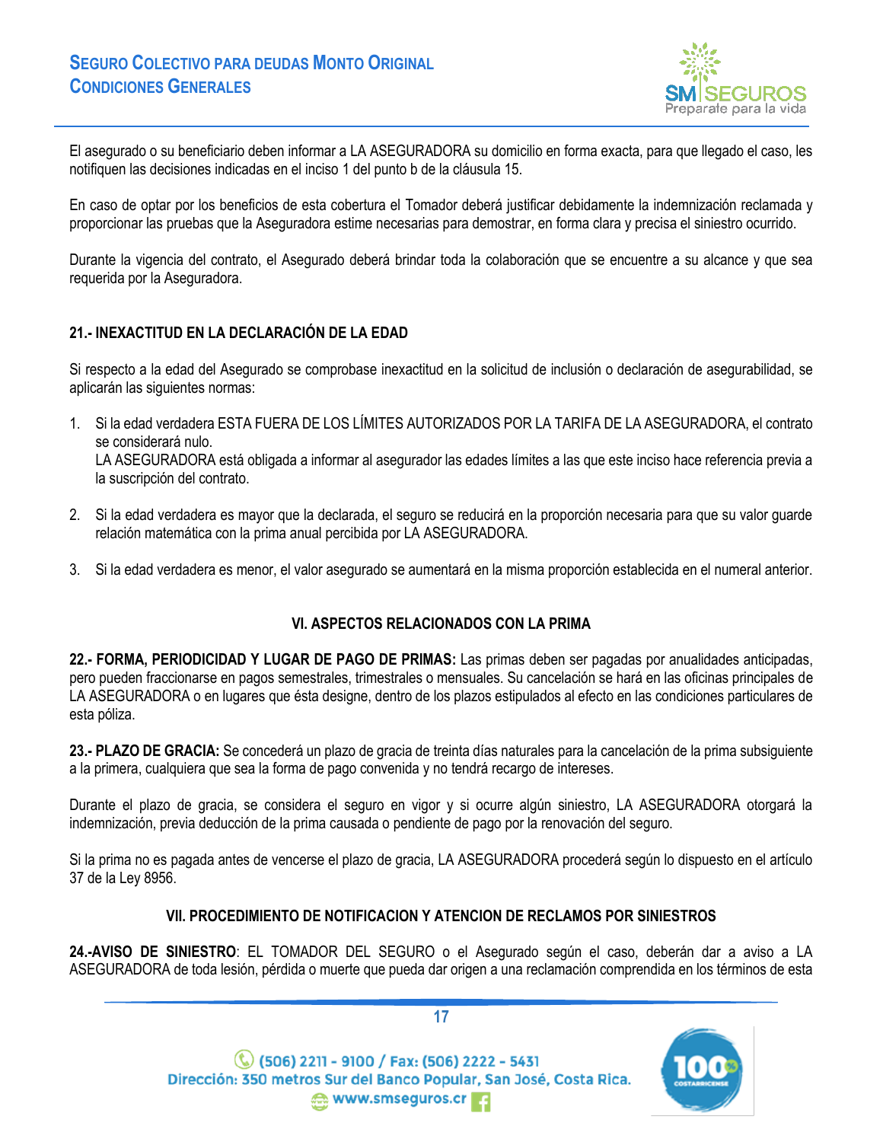

El asegurado o su beneficiario deben informar a LA ASEGURADORA su domicilio en forma exacta, para que llegado el caso, les notifiquen las decisiones indicadas en el inciso 1 del punto b de la cláusula 15.

En caso de optar por los beneficios de esta cobertura el Tomador deberá justificar debidamente la indemnización reclamada y proporcionar las pruebas que la Aseguradora estime necesarias para demostrar, en forma clara y precisa el siniestro ocurrido.

Durante la vigencia del contrato, el Asegurado deberá brindar toda la colaboración que se encuentre a su alcance y que sea requerida por la Aseguradora.

## <span id="page-16-0"></span>**21.- INEXACTITUD EN LA DECLARACIÓN DE LA EDAD**

Si respecto a la edad del Asegurado se comprobase inexactitud en la solicitud de inclusión o declaración de asegurabilidad, se aplicarán las siguientes normas:

- 1. Si la edad verdadera ESTA FUERA DE LOS LÍMITES AUTORIZADOS POR LA TARIFA DE LA ASEGURADORA, el contrato se considerará nulo. LA ASEGURADORA está obligada a informar al asegurador las edades límites a las que este inciso hace referencia previa a la suscripción del contrato.
- 2. Si la edad verdadera es mayor que la declarada, el seguro se reducirá en la proporción necesaria para que su valor guarde relación matemática con la prima anual percibida por LA ASEGURADORA.
- 3. Si la edad verdadera es menor, el valor asegurado se aumentará en la misma proporción establecida en el numeral anterior.

## **VI. ASPECTOS RELACIONADOS CON LA PRIMA**

<span id="page-16-2"></span><span id="page-16-1"></span>**22.- FORMA, PERIODICIDAD Y LUGAR DE PAGO DE PRIMAS:** Las primas deben ser pagadas por anualidades anticipadas, pero pueden fraccionarse en pagos semestrales, trimestrales o mensuales. Su cancelación se hará en las oficinas principales de LA ASEGURADORA o en lugares que ésta designe, dentro de los plazos estipulados al efecto en las condiciones particulares de esta póliza.

<span id="page-16-3"></span>**23.- PLAZO DE GRACIA:** Se concederá un plazo de gracia de treinta días naturales para la cancelación de la prima subsiguiente a la primera, cualquiera que sea la forma de pago convenida y no tendrá recargo de intereses.

Durante el plazo de gracia, se considera el seguro en vigor y si ocurre algún siniestro, LA ASEGURADORA otorgará la indemnización, previa deducción de la prima causada o pendiente de pago por la renovación del seguro.

Si la prima no es pagada antes de vencerse el plazo de gracia, LA ASEGURADORA procederá según lo dispuesto en el artículo 37 de la Ley 8956.

## **VII. PROCEDIMIENTO DE NOTIFICACION Y ATENCION DE RECLAMOS POR SINIESTROS**

<span id="page-16-5"></span><span id="page-16-4"></span>**24.-AVISO DE SINIESTRO**: EL TOMADOR DEL SEGURO o el Asegurado según el caso, deberán dar a aviso a LA ASEGURADORA de toda lesión, pérdida o muerte que pueda dar origen a una reclamación comprendida en los términos de esta



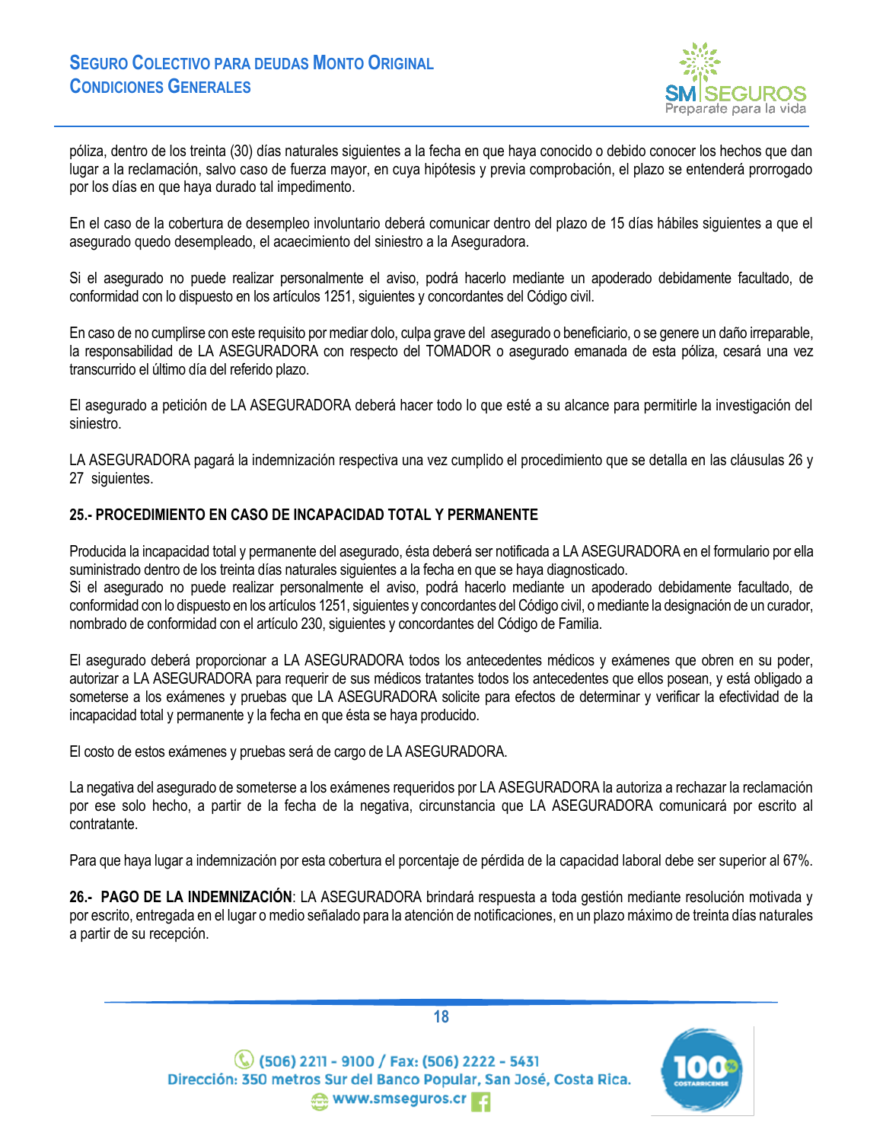

póliza, dentro de los treinta (30) días naturales siguientes a la fecha en que haya conocido o debido conocer los hechos que dan lugar a la reclamación, salvo caso de fuerza mayor, en cuya hipótesis y previa comprobación, el plazo se entenderá prorrogado por los días en que haya durado tal impedimento.

En el caso de la cobertura de desempleo involuntario deberá comunicar dentro del plazo de 15 días hábiles siguientes a que el asegurado quedo desempleado, el acaecimiento del siniestro a la Aseguradora.

Si el asegurado no puede realizar personalmente el aviso, podrá hacerlo mediante un apoderado debidamente facultado, de conformidad con lo dispuesto en los artículos 1251, siguientes y concordantes del Código civil.

En caso de no cumplirse con este requisito por mediar dolo, culpa grave del asegurado o beneficiario, o se genere un daño irreparable, la responsabilidad de LA ASEGURADORA con respecto del TOMADOR o asegurado emanada de esta póliza, cesará una vez transcurrido el último día del referido plazo.

El asegurado a petición de LA ASEGURADORA deberá hacer todo lo que esté a su alcance para permitirle la investigación del siniestro.

LA ASEGURADORA pagará la indemnización respectiva una vez cumplido el procedimiento que se detalla en las cláusulas 26 y 27 siguientes.

### <span id="page-17-0"></span>**25.- PROCEDIMIENTO EN CASO DE INCAPACIDAD TOTAL Y PERMANENTE**

Producida la incapacidad total y permanente del asegurado, ésta deberá ser notificada a LA ASEGURADORA en el formulario por ella suministrado dentro de los treinta días naturales siguientes a la fecha en que se haya diagnosticado.

Si el asegurado no puede realizar personalmente el aviso, podrá hacerlo mediante un apoderado debidamente facultado, de conformidad con lo dispuesto en los artículos 1251, siguientes y concordantes del Código civil, o mediante la designación de un curador, nombrado de conformidad con el artículo 230, siguientes y concordantes del Código de Familia.

El asegurado deberá proporcionar a LA ASEGURADORA todos los antecedentes médicos y exámenes que obren en su poder, autorizar a LA ASEGURADORA para requerir de sus médicos tratantes todos los antecedentes que ellos posean, y está obligado a someterse a los exámenes y pruebas que LA ASEGURADORA solicite para efectos de determinar y verificar la efectividad de la incapacidad total y permanente y la fecha en que ésta se haya producido.

El costo de estos exámenes y pruebas será de cargo de LA ASEGURADORA.

La negativa del asegurado de someterse a los exámenes requeridos por LA ASEGURADORA la autoriza a rechazar la reclamación por ese solo hecho, a partir de la fecha de la negativa, circunstancia que LA ASEGURADORA comunicará por escrito al contratante.

Para que haya lugar a indemnización por esta cobertura el porcentaje de pérdida de la capacidad laboral debe ser superior al 67%.

<span id="page-17-1"></span>**26.- PAGO DE LA INDEMNIZACIÓN**: LA ASEGURADORA brindará respuesta a toda gestión mediante resolución motivada y por escrito, entregada en el lugar o medio señalado para la atención de notificaciones, en un plazo máximo de treinta días naturales a partir de su recepción.



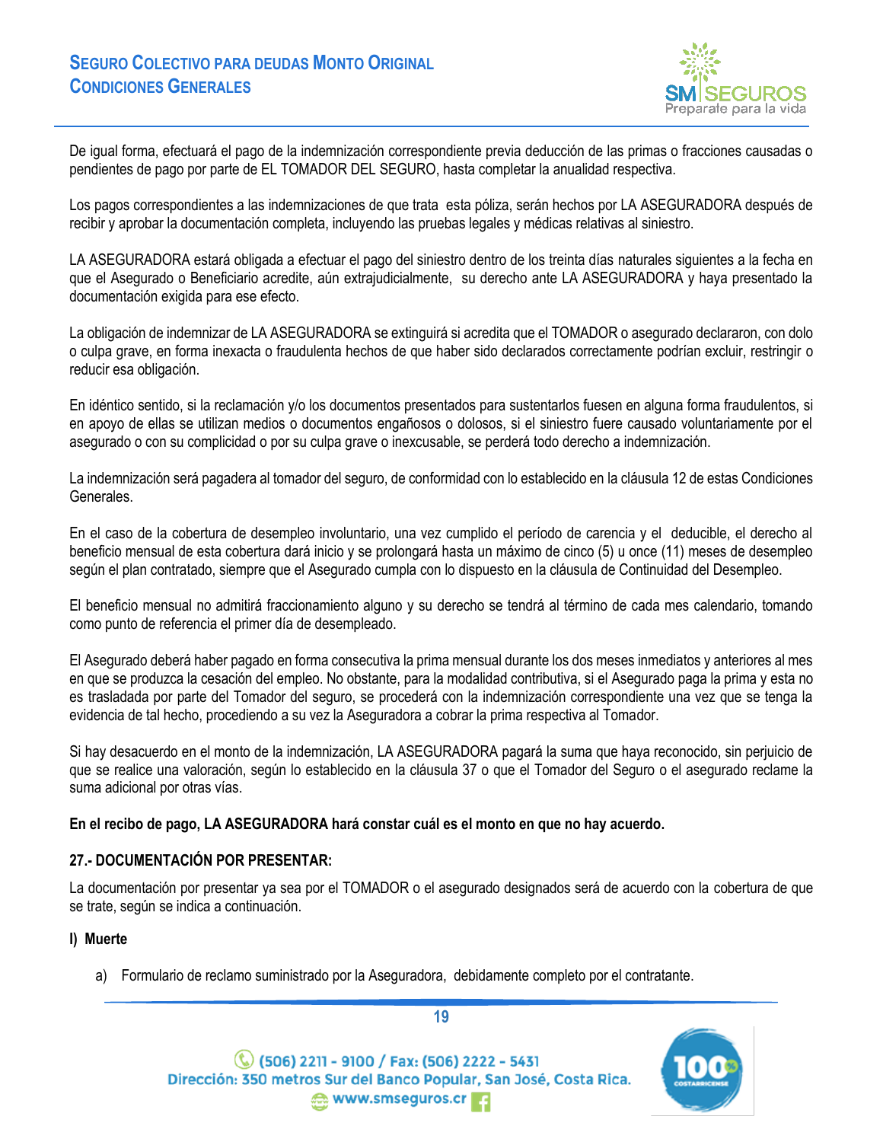

De igual forma, efectuará el pago de la indemnización correspondiente previa deducción de las primas o fracciones causadas o pendientes de pago por parte de EL TOMADOR DEL SEGURO, hasta completar la anualidad respectiva.

Los pagos correspondientes a las indemnizaciones de que trata esta póliza, serán hechos por LA ASEGURADORA después de recibir y aprobar la documentación completa, incluyendo las pruebas legales y médicas relativas al siniestro.

LA ASEGURADORA estará obligada a efectuar el pago del siniestro dentro de los treinta días naturales siguientes a la fecha en que el Asegurado o Beneficiario acredite, aún extrajudicialmente, su derecho ante LA ASEGURADORA y haya presentado la documentación exigida para ese efecto.

La obligación de indemnizar de LA ASEGURADORA se extinguirá si acredita que el TOMADOR o asegurado declararon, con dolo o culpa grave, en forma inexacta o fraudulenta hechos de que haber sido declarados correctamente podrían excluir, restringir o reducir esa obligación.

En idéntico sentido, si la reclamación y/o los documentos presentados para sustentarlos fuesen en alguna forma fraudulentos, si en apoyo de ellas se utilizan medios o documentos engañosos o dolosos, si el siniestro fuere causado voluntariamente por el asegurado o con su complicidad o por su culpa grave o inexcusable, se perderá todo derecho a indemnización.

La indemnización será pagadera al tomador del seguro, de conformidad con lo establecido en la cláusula 12 de estas Condiciones Generales.

En el caso de la cobertura de desempleo involuntario, una vez cumplido el período de carencia y el deducible, el derecho al beneficio mensual de esta cobertura dará inicio y se prolongará hasta un máximo de cinco (5) u once (11) meses de desempleo según el plan contratado, siempre que el Asegurado cumpla con lo dispuesto en la cláusula de Continuidad del Desempleo.

El beneficio mensual no admitirá fraccionamiento alguno y su derecho se tendrá al término de cada mes calendario, tomando como punto de referencia el primer día de desempleado.

El Asegurado deberá haber pagado en forma consecutiva la prima mensual durante los dos meses inmediatos y anteriores al mes en que se produzca la cesación del empleo. No obstante, para la modalidad contributiva, si el Asegurado paga la prima y esta no es trasladada por parte del Tomador del seguro, se procederá con la indemnización correspondiente una vez que se tenga la evidencia de tal hecho, procediendo a su vez la Aseguradora a cobrar la prima respectiva al Tomador.

Si hay desacuerdo en el monto de la indemnización, LA ASEGURADORA pagará la suma que haya reconocido, sin perjuicio de que se realice una valoración, según lo establecido en la cláusula 37 o que el Tomador del Seguro o el asegurado reclame la suma adicional por otras vías.

**En el recibo de pago, LA ASEGURADORA hará constar cuál es el monto en que no hay acuerdo.**

## <span id="page-18-0"></span>**27.- DOCUMENTACIÓN POR PRESENTAR:**

La documentación por presentar ya sea por el TOMADOR o el asegurado designados será de acuerdo con la cobertura de que se trate, según se indica a continuación.

#### **I) Muerte**

a) Formulario de reclamo suministrado por la Aseguradora, debidamente completo por el contratante.

(C) (506) 2211 - 9100 / Fax: (506) 2222 - 5431 Dirección: 350 metros Sur del Banco Popular, San José, Costa Rica. www.smseguros.cr

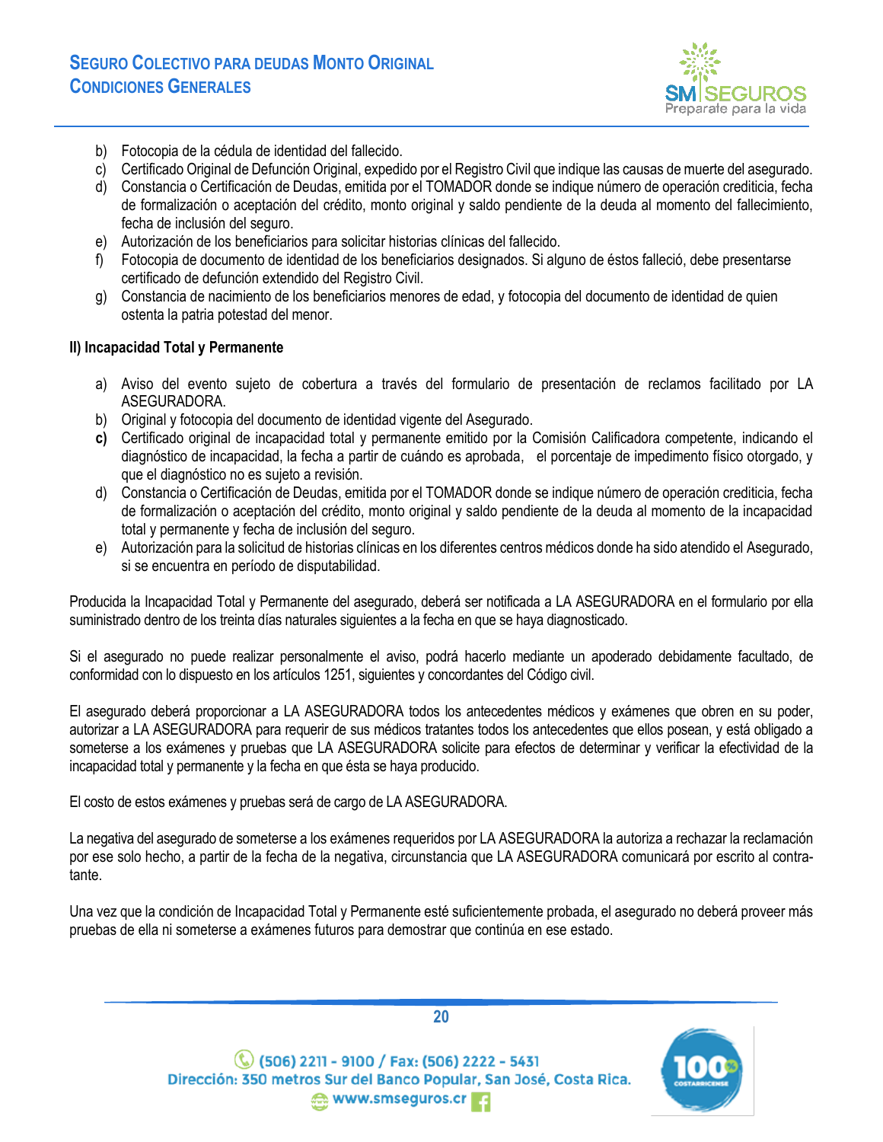

- b) Fotocopia de la cédula de identidad del fallecido.
- c) Certificado Original de Defunción Original, expedido por el Registro Civil que indique las causas de muerte del asegurado.
- d) Constancia o Certificación de Deudas, emitida por el TOMADOR donde se indique número de operación crediticia, fecha de formalización o aceptación del crédito, monto original y saldo pendiente de la deuda al momento del fallecimiento, fecha de inclusión del seguro.
- e) Autorización de los beneficiarios para solicitar historias clínicas del fallecido.
- Fotocopia de documento de identidad de los beneficiarios designados. Si alguno de éstos falleció, debe presentarse certificado de defunción extendido del Registro Civil.
- g) Constancia de nacimiento de los beneficiarios menores de edad, y fotocopia del documento de identidad de quien ostenta la patria potestad del menor.

### **II) Incapacidad Total y Permanente**

- a) Aviso del evento sujeto de cobertura a través del formulario de presentación de reclamos facilitado por LA ASEGURADORA.
- b) Original y fotocopia del documento de identidad vigente del Asegurado.
- **c)** Certificado original de incapacidad total y permanente emitido por la Comisión Calificadora competente, indicando el diagnóstico de incapacidad, la fecha a partir de cuándo es aprobada, el porcentaje de impedimento físico otorgado, y que el diagnóstico no es sujeto a revisión.
- d) Constancia o Certificación de Deudas, emitida por el TOMADOR donde se indique número de operación crediticia, fecha de formalización o aceptación del crédito, monto original y saldo pendiente de la deuda al momento de la incapacidad total y permanente y fecha de inclusión del seguro.
- e) Autorización para la solicitud de historias clínicas en los diferentes centros médicos donde ha sido atendido el Asegurado, si se encuentra en período de disputabilidad.

Producida la Incapacidad Total y Permanente del asegurado, deberá ser notificada a LA ASEGURADORA en el formulario por ella suministrado dentro de los treinta días naturales siguientes a la fecha en que se haya diagnosticado.

Si el asegurado no puede realizar personalmente el aviso, podrá hacerlo mediante un apoderado debidamente facultado, de conformidad con lo dispuesto en los artículos 1251, siguientes y concordantes del Código civil.

El asegurado deberá proporcionar a LA ASEGURADORA todos los antecedentes médicos y exámenes que obren en su poder, autorizar a LA ASEGURADORA para requerir de sus médicos tratantes todos los antecedentes que ellos posean, y está obligado a someterse a los exámenes y pruebas que LA ASEGURADORA solicite para efectos de determinar y verificar la efectividad de la incapacidad total y permanente y la fecha en que ésta se haya producido.

El costo de estos exámenes y pruebas será de cargo de LA ASEGURADORA.

La negativa del asegurado de someterse a los exámenes requeridos por LA ASEGURADORA la autoriza a rechazar la reclamación por ese solo hecho, a partir de la fecha de la negativa, circunstancia que LA ASEGURADORA comunicará por escrito al contratante.

Una vez que la condición de Incapacidad Total y Permanente esté suficientemente probada, el asegurado no deberá proveer más pruebas de ella ni someterse a exámenes futuros para demostrar que continúa en ese estado.

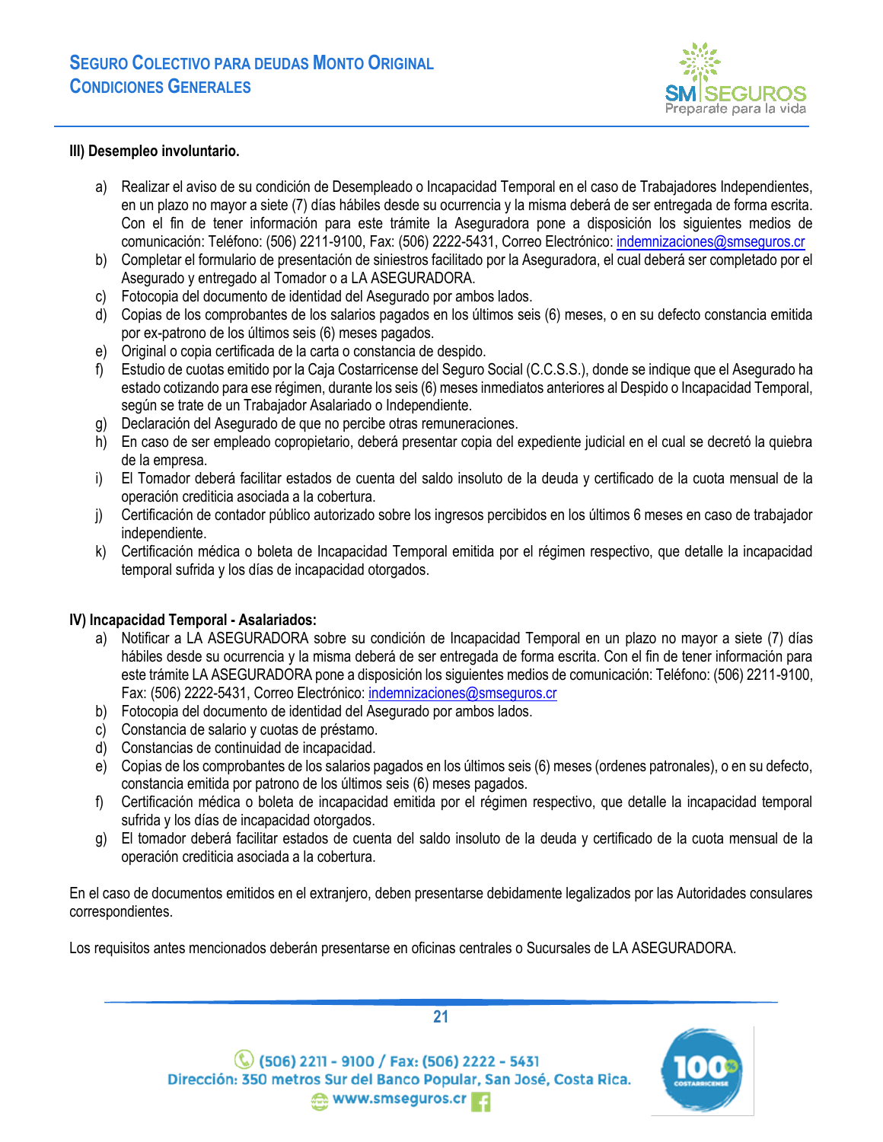

### **III) Desempleo involuntario.**

- a) Realizar el aviso de su condición de Desempleado o Incapacidad Temporal en el caso de Trabajadores Independientes, en un plazo no mayor a siete (7) días hábiles desde su ocurrencia y la misma deberá de ser entregada de forma escrita. Con el fin de tener información para este trámite la Aseguradora pone a disposición los siguientes medios de comunicación: Teléfono: (506) 2211-9100, Fax: (506) 2222-5431, Correo Electrónico[: indemnizaciones@smseguros.cr](about:blank)
- b) Completar el formulario de presentación de siniestros facilitado por la Aseguradora, el cual deberá ser completado por el Asegurado y entregado al Tomador o a LA ASEGURADORA.
- c) Fotocopia del documento de identidad del Asegurado por ambos lados.
- d) Copias de los comprobantes de los salarios pagados en los últimos seis (6) meses, o en su defecto constancia emitida por ex-patrono de los últimos seis (6) meses pagados.
- e) Original o copia certificada de la carta o constancia de despido.
- f) Estudio de cuotas emitido por la Caja Costarricense del Seguro Social (C.C.S.S.), donde se indique que el Asegurado ha estado cotizando para ese régimen, durante los seis (6) meses inmediatos anteriores al Despido o Incapacidad Temporal, según se trate de un Trabajador Asalariado o Independiente.
- g) Declaración del Asegurado de que no percibe otras remuneraciones.
- h) En caso de ser empleado copropietario, deberá presentar copia del expediente judicial en el cual se decretó la quiebra de la empresa.
- i) El Tomador deberá facilitar estados de cuenta del saldo insoluto de la deuda y certificado de la cuota mensual de la operación crediticia asociada a la cobertura.
- j) Certificación de contador público autorizado sobre los ingresos percibidos en los últimos 6 meses en caso de trabajador independiente.
- k) Certificación médica o boleta de Incapacidad Temporal emitida por el régimen respectivo, que detalle la incapacidad temporal sufrida y los días de incapacidad otorgados.

## **IV) Incapacidad Temporal - Asalariados:**

- a) Notificar a LA ASEGURADORA sobre su condición de Incapacidad Temporal en un plazo no mayor a siete (7) días hábiles desde su ocurrencia y la misma deberá de ser entregada de forma escrita. Con el fin de tener información para este trámite LA ASEGURADORA pone a disposición los siguientes medios de comunicación: Teléfono: (506) 2211-9100, Fax: (506) 2222-5431, Correo Electrónico[: indemnizaciones@smseguros.cr](about:blank)
- b) Fotocopia del documento de identidad del Asegurado por ambos lados.
- c) Constancia de salario y cuotas de préstamo.
- d) Constancias de continuidad de incapacidad.
- e) Copias de los comprobantes de los salarios pagados en los últimos seis (6) meses (ordenes patronales), o en su defecto, constancia emitida por patrono de los últimos seis (6) meses pagados.
- f) Certificación médica o boleta de incapacidad emitida por el régimen respectivo, que detalle la incapacidad temporal sufrida y los días de incapacidad otorgados.
- g) El tomador deberá facilitar estados de cuenta del saldo insoluto de la deuda y certificado de la cuota mensual de la operación crediticia asociada a la cobertura.

En el caso de documentos emitidos en el extranjero, deben presentarse debidamente legalizados por las Autoridades consulares correspondientes.

Los requisitos antes mencionados deberán presentarse en oficinas centrales o Sucursales de LA ASEGURADORA.

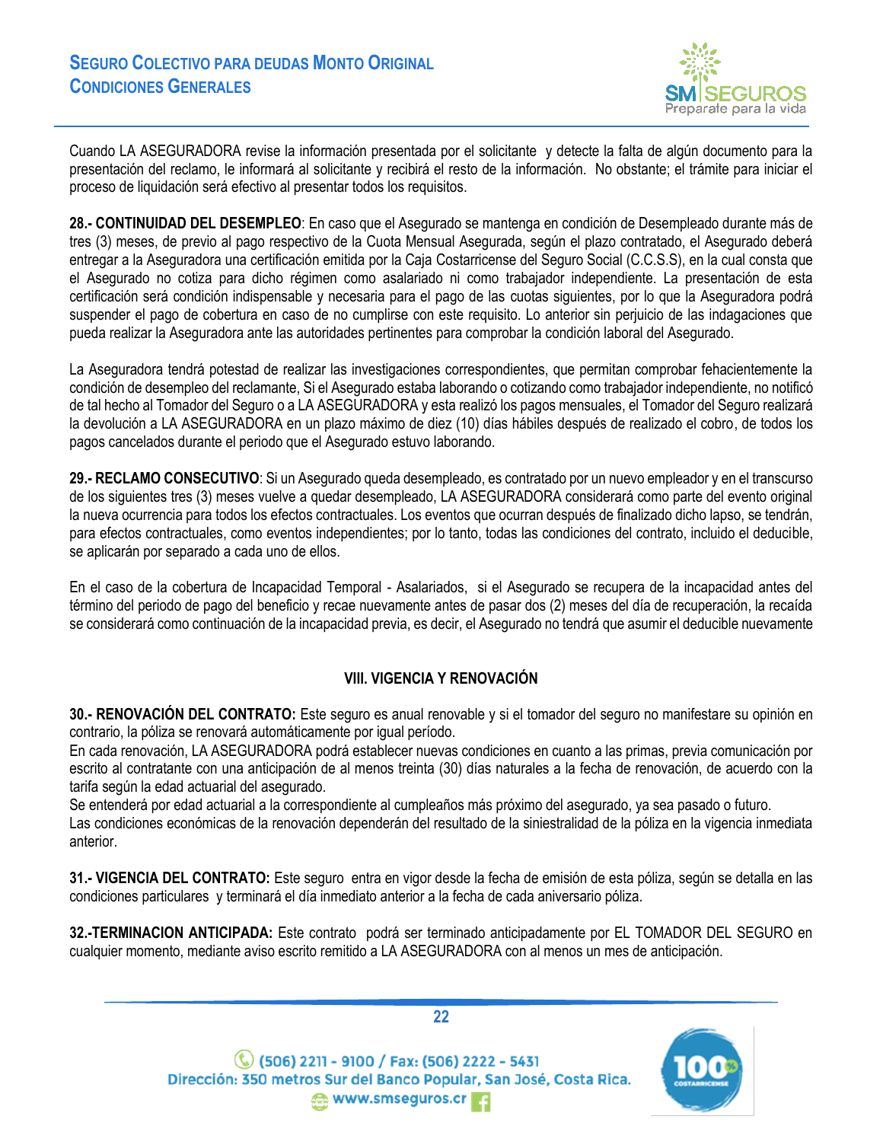

Cuando LA ASEGURADORA revise la información presentada por el solicitante y detecte la falta de algún documento para la presentación del reclamo, le informará al solicitante y recibirá el resto de la información. No obstante; el trámite para iniciar el proceso de liquidación será efectivo al presentar todos los requisitos.

<span id="page-21-0"></span>**28.- CONTINUIDAD DEL DESEMPLEO**: En caso que el Asegurado se mantenga en condición de Desempleado durante más de tres (3) meses, de previo al pago respectivo de la Cuota Mensual Asegurada, según el plazo contratado, el Asegurado deberá entregar a la Aseguradora una certificación emitida por la Caja Costarricense del Seguro Social (C.C.S.S), en la cual consta que el Asegurado no cotiza para dicho régimen como asalariado ni como trabajador independiente. La presentación de esta certificación será condición indispensable y necesaria para el pago de las cuotas siguientes, por lo que la Aseguradora podrá suspender el pago de cobertura en caso de no cumplirse con este requisito. Lo anterior sin perjuicio de las indagaciones que pueda realizar la Aseguradora ante las autoridades pertinentes para comprobar la condición laboral del Asegurado.

La Aseguradora tendrá potestad de realizar las investigaciones correspondientes, que permitan comprobar fehacientemente la condición de desempleo del reclamante, Si el Asegurado estaba laborando o cotizando como trabajador independiente, no notificó de tal hecho al Tomador del Seguro o a LA ASEGURADORA y esta realizó los pagos mensuales, el Tomador del Seguro realizará la devolución a LA ASEGURADORA en un plazo máximo de diez (10) días hábiles después de realizado el cobro, de todos los pagos cancelados durante el periodo que el Asegurado estuvo laborando.

<span id="page-21-1"></span>**29.- RECLAMO CONSECUTIVO**: Si un Asegurado queda desempleado, es contratado por un nuevo empleador y en el transcurso de los siguientes tres (3) meses vuelve a quedar desempleado, LA ASEGURADORA considerará como parte del evento original la nueva ocurrencia para todos los efectos contractuales. Los eventos que ocurran después de finalizado dicho lapso, se tendrán, para efectos contractuales, como eventos independientes; por lo tanto, todas las condiciones del contrato, incluido el deducible, se aplicarán por separado a cada uno de ellos.

En el caso de la cobertura de Incapacidad Temporal - Asalariados, si el Asegurado se recupera de la incapacidad antes del término del periodo de pago del beneficio y recae nuevamente antes de pasar dos (2) meses del día de recuperación, la recaída se considerará como continuación de la incapacidad previa, es decir, el Asegurado no tendrá que asumir el deducible nuevamente

## **VIII. VIGENCIA Y RENOVACIÓN**

<span id="page-21-3"></span><span id="page-21-2"></span>**30.- RENOVACIÓN DEL CONTRATO:** Este seguro es anual renovable y si el tomador del seguro no manifestare su opinión en contrario, la póliza se renovará automáticamente por igual período.

En cada renovación, LA ASEGURADORA podrá establecer nuevas condiciones en cuanto a las primas, previa comunicación por escrito al contratante con una anticipación de al menos treinta (30) días naturales a la fecha de renovación, de acuerdo con la tarifa según la edad actuarial del asegurado.

Se entenderá por edad actuarial a la correspondiente al cumpleaños más próximo del asegurado, ya sea pasado o futuro. Las condiciones económicas de la renovación dependerán del resultado de la siniestralidad de la póliza en la vigencia inmediata anterior.

<span id="page-21-4"></span>**31.- VIGENCIA DEL CONTRATO:** Este seguro entra en vigor desde la fecha de emisión de esta póliza, según se detalla en las condiciones particulares y terminará el día inmediato anterior a la fecha de cada aniversario póliza.

<span id="page-21-5"></span>**32.-TERMINACION ANTICIPADA:** Este contrato podrá ser terminado anticipadamente por EL TOMADOR DEL SEGURO en cualquier momento, mediante aviso escrito remitido a LA ASEGURADORA con al menos un mes de anticipación.

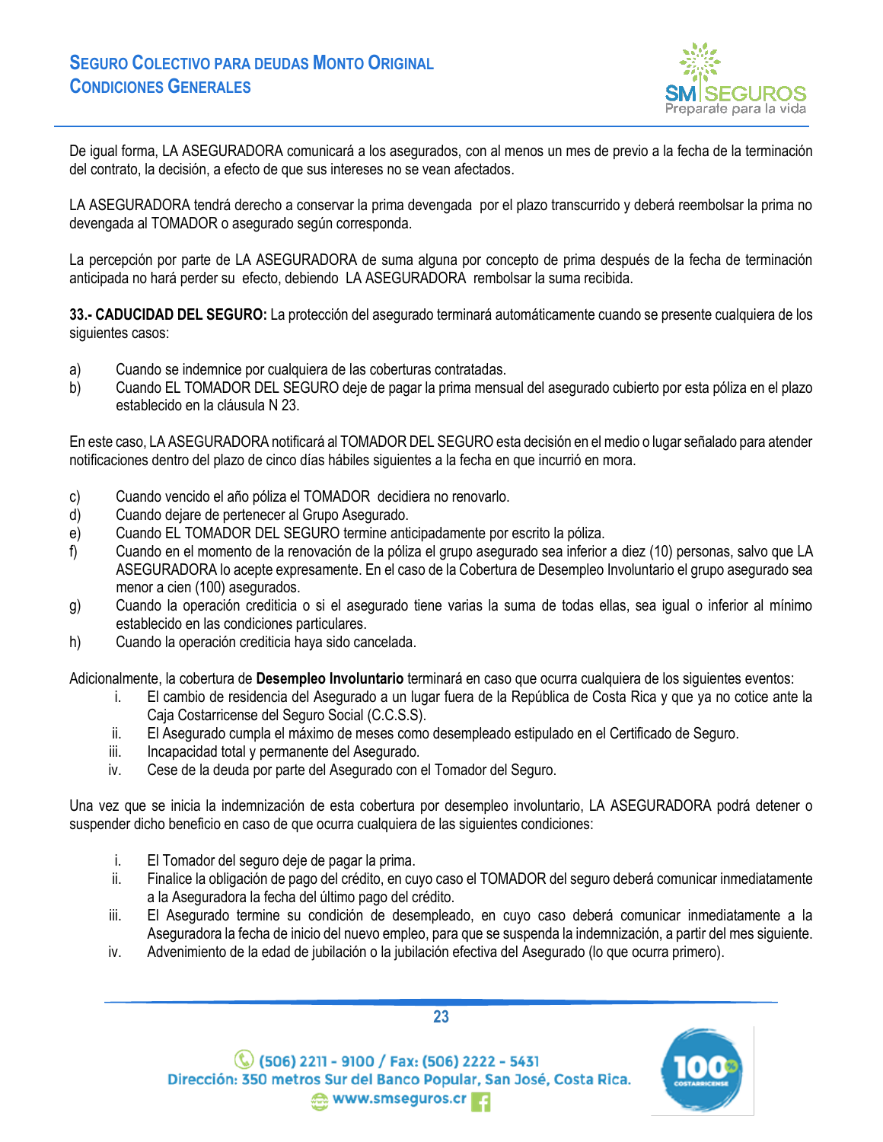

De igual forma, LA ASEGURADORA comunicará a los asegurados, con al menos un mes de previo a la fecha de la terminación del contrato, la decisión, a efecto de que sus intereses no se vean afectados.

LA ASEGURADORA tendrá derecho a conservar la prima devengada por el plazo transcurrido y deberá reembolsar la prima no devengada al TOMADOR o asegurado según corresponda.

La percepción por parte de LA ASEGURADORA de suma alguna por concepto de prima después de la fecha de terminación anticipada no hará perder su efecto, debiendo LA ASEGURADORA rembolsar la suma recibida.

<span id="page-22-0"></span>**33.- CADUCIDAD DEL SEGURO:** La protección del asegurado terminará automáticamente cuando se presente cualquiera de los siguientes casos:

- a) Cuando se indemnice por cualquiera de las coberturas contratadas.
- b) Cuando EL TOMADOR DEL SEGURO deje de pagar la prima mensual del asegurado cubierto por esta póliza en el plazo establecido en la cláusula N 23.

En este caso, LA ASEGURADORA notificará al TOMADOR DEL SEGURO esta decisión en el medio o lugar señalado para atender notificaciones dentro del plazo de cinco días hábiles siguientes a la fecha en que incurrió en mora.

- c) Cuando vencido el año póliza el TOMADOR decidiera no renovarlo.
- d) Cuando dejare de pertenecer al Grupo Asegurado.
- e) Cuando EL TOMADOR DEL SEGURO termine anticipadamente por escrito la póliza.
- f) Cuando en el momento de la renovación de la póliza el grupo asegurado sea inferior a diez (10) personas, salvo que LA ASEGURADORA lo acepte expresamente. En el caso de la Cobertura de Desempleo Involuntario el grupo asegurado sea menor a cien (100) asegurados.
- g) Cuando la operación crediticia o si el asegurado tiene varias la suma de todas ellas, sea igual o inferior al mínimo establecido en las condiciones particulares.
- h) Cuando la operación crediticia haya sido cancelada.

Adicionalmente, la cobertura de **Desempleo Involuntario** terminará en caso que ocurra cualquiera de los siguientes eventos:

- i. El cambio de residencia del Asegurado a un lugar fuera de la República de Costa Rica y que ya no cotice ante la Caja Costarricense del Seguro Social (C.C.S.S).
- ii. El Asegurado cumpla el máximo de meses como desempleado estipulado en el Certificado de Seguro.
- iii. Incapacidad total y permanente del Asegurado.
- iv. Cese de la deuda por parte del Asegurado con el Tomador del Seguro.

Una vez que se inicia la indemnización de esta cobertura por desempleo involuntario, LA ASEGURADORA podrá detener o suspender dicho beneficio en caso de que ocurra cualquiera de las siguientes condiciones:

- i. El Tomador del seguro deje de pagar la prima.
- ii. Finalice la obligación de pago del crédito, en cuyo caso el TOMADOR del seguro deberá comunicar inmediatamente a la Aseguradora la fecha del último pago del crédito.
- iii. El Asegurado termine su condición de desempleado, en cuyo caso deberá comunicar inmediatamente a la Aseguradora la fecha de inicio del nuevo empleo, para que se suspenda la indemnización, a partir del mes siguiente.
- iv. Advenimiento de la edad de jubilación o la jubilación efectiva del Asegurado (lo que ocurra primero).



(C) (506) 2211 - 9100 / Fax: (506) 2222 - 5431

Dirección: 350 metros Sur del Banco Popular, San José, Costa Rica. www.smseguros.cr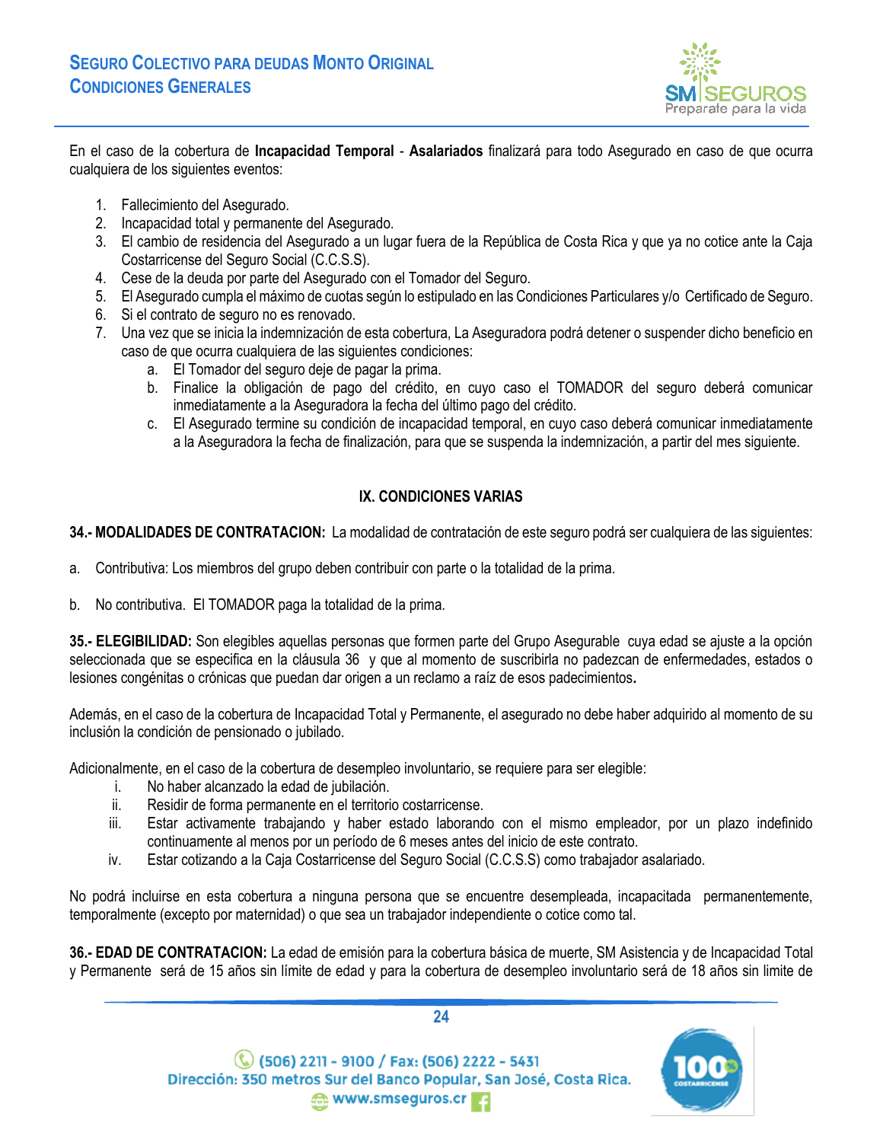

En el caso de la cobertura de **Incapacidad Temporal** - **Asalariados** finalizará para todo Asegurado en caso de que ocurra cualquiera de los siguientes eventos:

- 1. Fallecimiento del Asegurado.
- 2. Incapacidad total y permanente del Asegurado.
- 3. El cambio de residencia del Asegurado a un lugar fuera de la República de Costa Rica y que ya no cotice ante la Caja Costarricense del Seguro Social (C.C.S.S).
- 4. Cese de la deuda por parte del Asegurado con el Tomador del Seguro.
- 5. El Asegurado cumpla el máximo de cuotas según lo estipulado en las Condiciones Particulares y/o Certificado de Seguro.
- 6. Si el contrato de seguro no es renovado.
- 7. Una vez que se inicia la indemnización de esta cobertura, La Aseguradora podrá detener o suspender dicho beneficio en caso de que ocurra cualquiera de las siguientes condiciones:
	- a. El Tomador del seguro deje de pagar la prima.
	- b. Finalice la obligación de pago del crédito, en cuyo caso el TOMADOR del seguro deberá comunicar inmediatamente a la Aseguradora la fecha del último pago del crédito.
	- c. El Asegurado termine su condición de incapacidad temporal, en cuyo caso deberá comunicar inmediatamente a la Aseguradora la fecha de finalización, para que se suspenda la indemnización, a partir del mes siguiente.

## **IX. CONDICIONES VARIAS**

<span id="page-23-1"></span><span id="page-23-0"></span>**34.- MODALIDADES DE CONTRATACION:** La modalidad de contratación de este seguro podrá ser cualquiera de las siguientes:

- a. Contributiva: Los miembros del grupo deben contribuir con parte o la totalidad de la prima.
- b. No contributiva. El TOMADOR paga la totalidad de la prima.

<span id="page-23-2"></span>**35.- ELEGIBILIDAD:** Son elegibles aquellas personas que formen parte del Grupo Asegurable cuya edad se ajuste a la opción seleccionada que se especifica en la cláusula 36 y que al momento de suscribirla no padezcan de enfermedades, estados o lesiones congénitas o crónicas que puedan dar origen a un reclamo a raíz de esos padecimientos**.**

Además, en el caso de la cobertura de Incapacidad Total y Permanente, el asegurado no debe haber adquirido al momento de su inclusión la condición de pensionado o jubilado.

Adicionalmente, en el caso de la cobertura de desempleo involuntario, se requiere para ser elegible:

- i. No haber alcanzado la edad de jubilación.
- ii. Residir de forma permanente en el territorio costarricense.
- iii. Estar activamente trabajando y haber estado laborando con el mismo empleador, por un plazo indefinido continuamente al menos por un período de 6 meses antes del inicio de este contrato.
- iv. Estar cotizando a la Caja Costarricense del Seguro Social (C.C.S.S) como trabajador asalariado.

No podrá incluirse en esta cobertura a ninguna persona que se encuentre desempleada, incapacitada permanentemente, temporalmente (excepto por maternidad) o que sea un trabajador independiente o cotice como tal.

<span id="page-23-3"></span>**36.- EDAD DE CONTRATACION:** La edad de emisión para la cobertura básica de muerte, SM Asistencia y de Incapacidad Total y Permanente será de 15 años sin límite de edad y para la cobertura de desempleo involuntario será de 18 años sin limite de



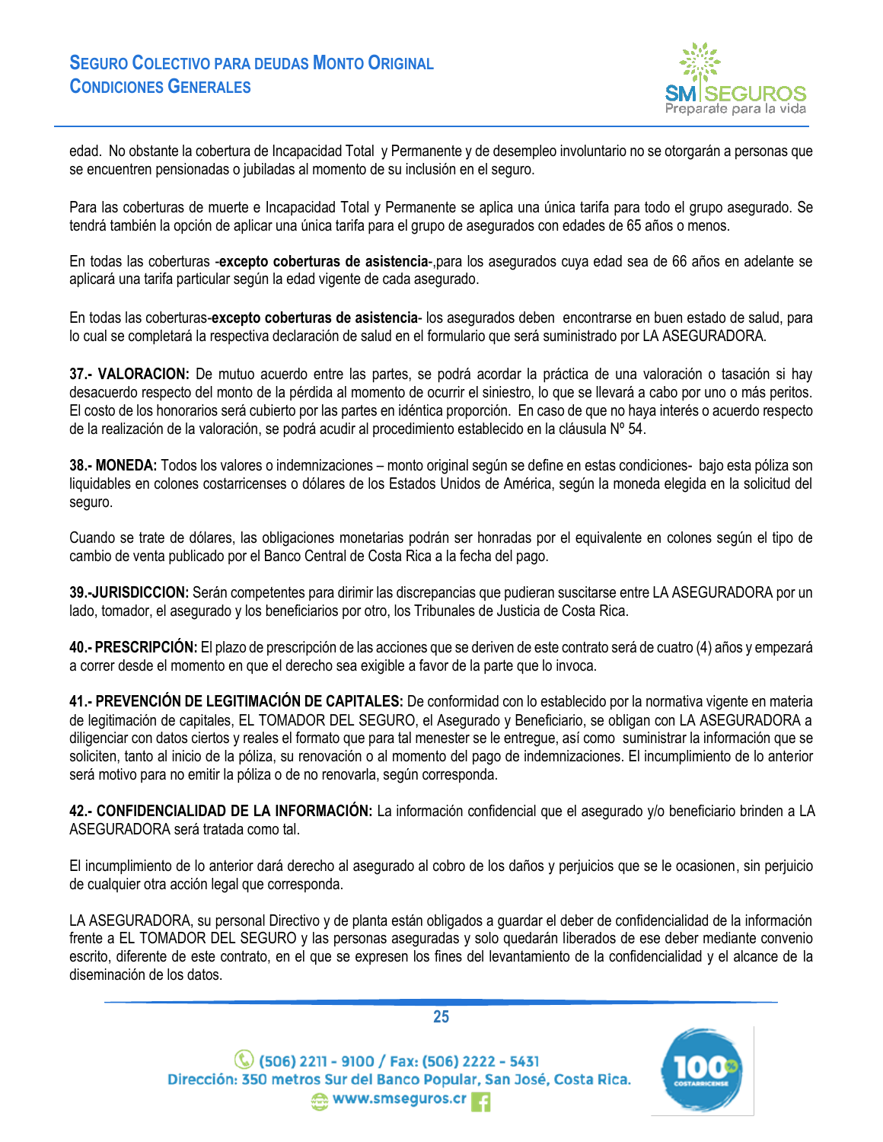

edad. No obstante la cobertura de Incapacidad Total y Permanente y de desempleo involuntario no se otorgarán a personas que se encuentren pensionadas o jubiladas al momento de su inclusión en el seguro.

Para las coberturas de muerte e Incapacidad Total y Permanente se aplica una única tarifa para todo el grupo asegurado. Se tendrá también la opción de aplicar una única tarifa para el grupo de asegurados con edades de 65 años o menos.

En todas las coberturas -**excepto coberturas de asistencia**-,para los asegurados cuya edad sea de 66 años en adelante se aplicará una tarifa particular según la edad vigente de cada asegurado.

En todas las coberturas-**excepto coberturas de asistencia**- los asegurados deben encontrarse en buen estado de salud, para lo cual se completará la respectiva declaración de salud en el formulario que será suministrado por LA ASEGURADORA.

<span id="page-24-0"></span>**37.- VALORACION:** De mutuo acuerdo entre las partes, se podrá acordar la práctica de una valoración o tasación si hay desacuerdo respecto del monto de la pérdida al momento de ocurrir el siniestro, lo que se llevará a cabo por uno o más peritos. El costo de los honorarios será cubierto por las partes en idéntica proporción. En caso de que no haya interés o acuerdo respecto de la realización de la valoración, se podrá acudir al procedimiento establecido en la cláusula Nº 54.

<span id="page-24-1"></span>**38.- MONEDA:** Todos los valores o indemnizaciones – monto original según se define en estas condiciones- bajo esta póliza son liquidables en colones costarricenses o dólares de los Estados Unidos de América, según la moneda elegida en la solicitud del seguro.

Cuando se trate de dólares, las obligaciones monetarias podrán ser honradas por el equivalente en colones según el tipo de cambio de venta publicado por el Banco Central de Costa Rica a la fecha del pago.

<span id="page-24-2"></span>**39.-JURISDICCION:** Serán competentes para dirimir las discrepancias que pudieran suscitarse entre LA ASEGURADORA por un lado, tomador, el asegurado y los beneficiarios por otro, los Tribunales de Justicia de Costa Rica.

<span id="page-24-3"></span>**40.- PRESCRIPCIÓN:** El plazo de prescripción de las acciones que se deriven de este contrato será de cuatro (4) años y empezará a correr desde el momento en que el derecho sea exigible a favor de la parte que lo invoca.

<span id="page-24-4"></span>**41.- PREVENCIÓN DE LEGITIMACIÓN DE CAPITALES:** De conformidad con lo establecido por la normativa vigente en materia de legitimación de capitales, EL TOMADOR DEL SEGURO, el Asegurado y Beneficiario, se obligan con LA ASEGURADORA a diligenciar con datos ciertos y reales el formato que para tal menester se le entregue, así como suministrar la información que se soliciten, tanto al inicio de la póliza, su renovación o al momento del pago de indemnizaciones. El incumplimiento de lo anterior será motivo para no emitir la póliza o de no renovarla, según corresponda.

<span id="page-24-5"></span>**42.- CONFIDENCIALIDAD DE LA INFORMACIÓN:** La información confidencial que el asegurado y/o beneficiario brinden a LA ASEGURADORA será tratada como tal.

El incumplimiento de lo anterior dará derecho al asegurado al cobro de los daños y perjuicios que se le ocasionen, sin perjuicio de cualquier otra acción legal que corresponda.

LA ASEGURADORA, su personal Directivo y de planta están obligados a guardar el deber de confidencialidad de la información frente a EL TOMADOR DEL SEGURO y las personas aseguradas y solo quedarán liberados de ese deber mediante convenio escrito, diferente de este contrato, en el que se expresen los fines del levantamiento de la confidencialidad y el alcance de la diseminación de los datos.



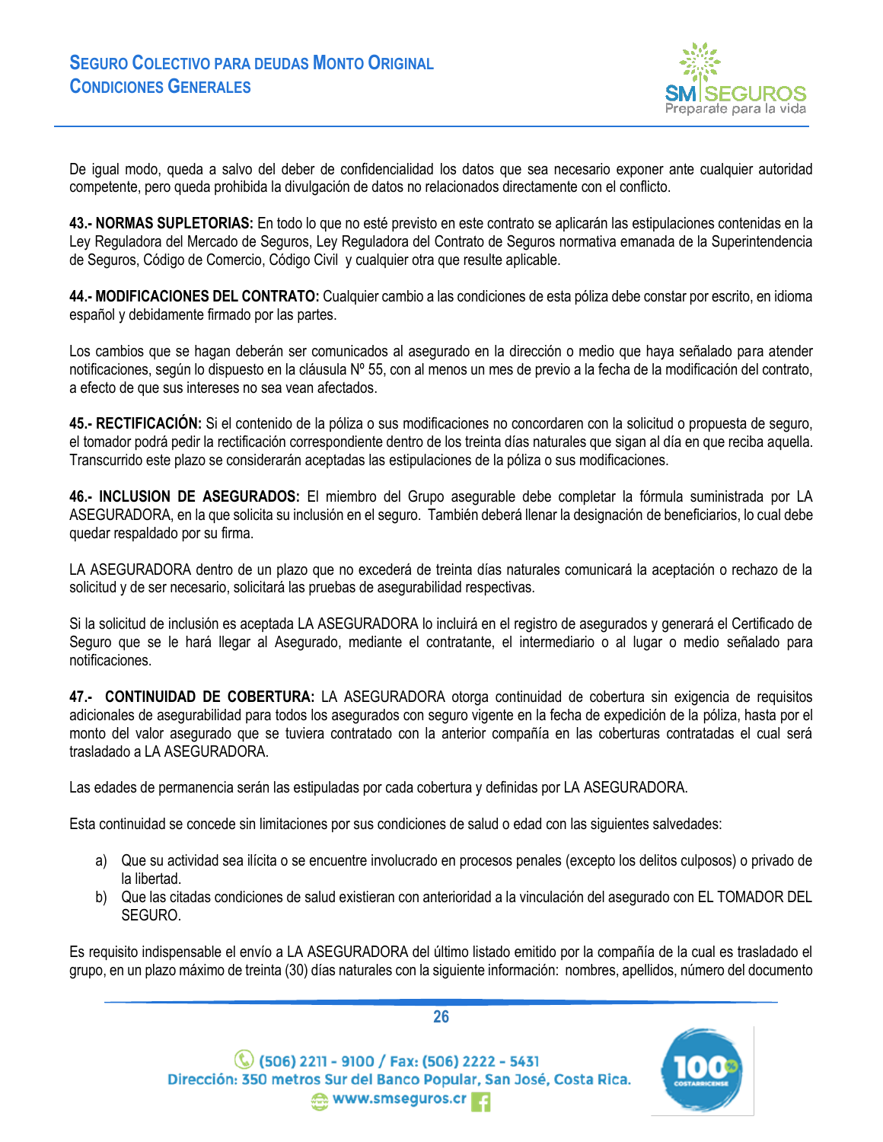

De igual modo, queda a salvo del deber de confidencialidad los datos que sea necesario exponer ante cualquier autoridad competente, pero queda prohibida la divulgación de datos no relacionados directamente con el conflicto.

<span id="page-25-0"></span>**43.- NORMAS SUPLETORIAS:** En todo lo que no esté previsto en este contrato se aplicarán las estipulaciones contenidas en la Ley Reguladora del Mercado de Seguros, Ley Reguladora del Contrato de Seguros normativa emanada de la Superintendencia de Seguros, Código de Comercio, Código Civil y cualquier otra que resulte aplicable.

<span id="page-25-1"></span>**44.- MODIFICACIONES DEL CONTRATO:** Cualquier cambio a las condiciones de esta póliza debe constar por escrito, en idioma español y debidamente firmado por las partes.

Los cambios que se hagan deberán ser comunicados al asegurado en la dirección o medio que haya señalado para atender notificaciones, según lo dispuesto en la cláusula Nº 55, con al menos un mes de previo a la fecha de la modificación del contrato, a efecto de que sus intereses no sea vean afectados.

<span id="page-25-2"></span>**45.- RECTIFICACIÓN:** Si el contenido de la póliza o sus modificaciones no concordaren con la solicitud o propuesta de seguro, el tomador podrá pedir la rectificación correspondiente dentro de los treinta días naturales que sigan al día en que reciba aquella. Transcurrido este plazo se considerarán aceptadas las estipulaciones de la póliza o sus modificaciones.

<span id="page-25-3"></span>**46.- INCLUSION DE ASEGURADOS:** El miembro del Grupo asegurable debe completar la fórmula suministrada por LA ASEGURADORA, en la que solicita su inclusión en el seguro. También deberá llenar la designación de beneficiarios, lo cual debe quedar respaldado por su firma.

LA ASEGURADORA dentro de un plazo que no excederá de treinta días naturales comunicará la aceptación o rechazo de la solicitud y de ser necesario, solicitará las pruebas de asegurabilidad respectivas.

Si la solicitud de inclusión es aceptada LA ASEGURADORA lo incluirá en el registro de asegurados y generará el Certificado de Seguro que se le hará llegar al Asegurado, mediante el contratante, el intermediario o al lugar o medio señalado para notificaciones.

<span id="page-25-4"></span>**47.- CONTINUIDAD DE COBERTURA:** LA ASEGURADORA otorga continuidad de cobertura sin exigencia de requisitos adicionales de asegurabilidad para todos los asegurados con seguro vigente en la fecha de expedición de la póliza, hasta por el monto del valor asegurado que se tuviera contratado con la anterior compañía en las coberturas contratadas el cual será trasladado a LA ASEGURADORA.

Las edades de permanencia serán las estipuladas por cada cobertura y definidas por LA ASEGURADORA.

Esta continuidad se concede sin limitaciones por sus condiciones de salud o edad con las siguientes salvedades:

- a) Que su actividad sea ilícita o se encuentre involucrado en procesos penales (excepto los delitos culposos) o privado de la libertad.
- b) Que las citadas condiciones de salud existieran con anterioridad a la vinculación del asegurado con EL TOMADOR DEL SEGURO.

Es requisito indispensable el envío a LA ASEGURADORA del último listado emitido por la compañía de la cual es trasladado el grupo, en un plazo máximo de treinta (30) días naturales con la siguiente información: nombres, apellidos, número del documento



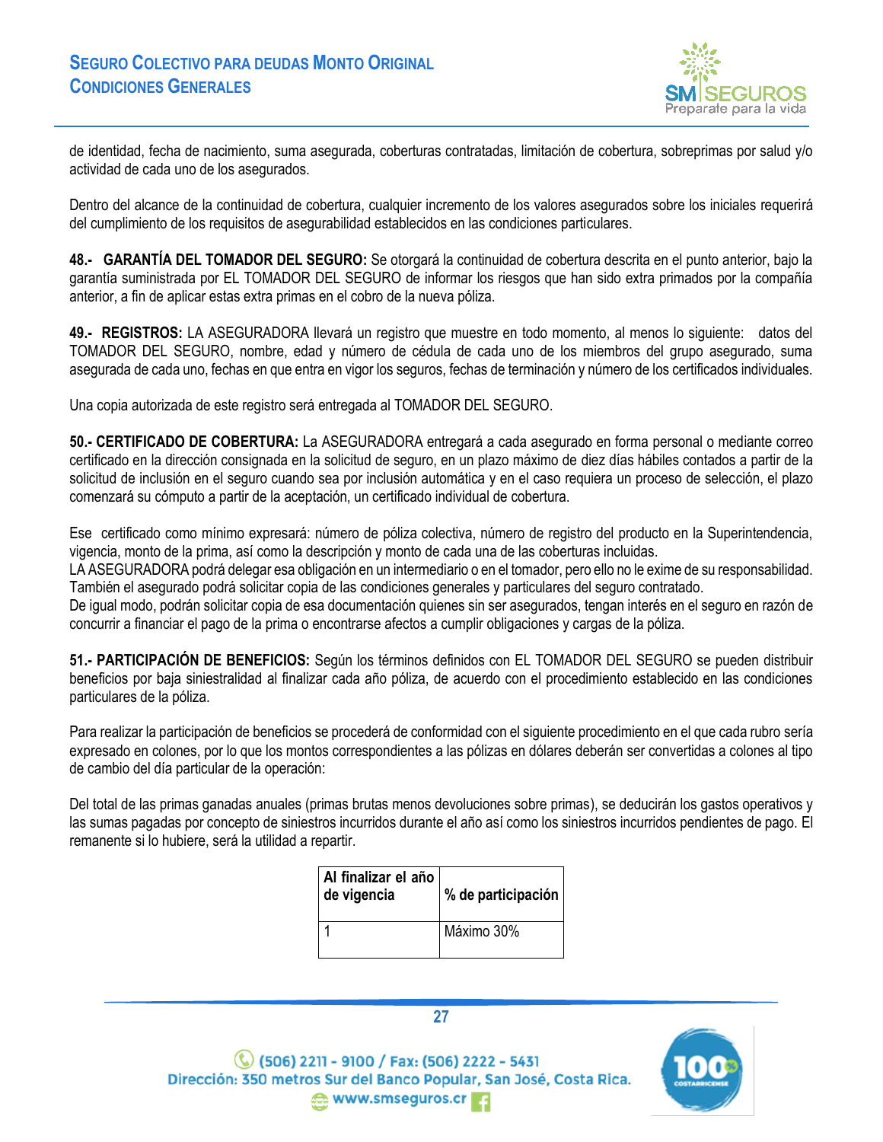

de identidad, fecha de nacimiento, suma asegurada, coberturas contratadas, limitación de cobertura, sobreprimas por salud y/o actividad de cada uno de los asegurados.

Dentro del alcance de la continuidad de cobertura, cualquier incremento de los valores asegurados sobre los iniciales requerirá del cumplimiento de los requisitos de asegurabilidad establecidos en las condiciones particulares.

<span id="page-26-0"></span>**48.- GARANTÍA DEL TOMADOR DEL SEGURO:** Se otorgará la continuidad de cobertura descrita en el punto anterior, bajo la garantía suministrada por EL TOMADOR DEL SEGURO de informar los riesgos que han sido extra primados por la compañía anterior, a fin de aplicar estas extra primas en el cobro de la nueva póliza.

<span id="page-26-1"></span>**49.- REGISTROS:** LA ASEGURADORA llevará un registro que muestre en todo momento, al menos lo siguiente: datos del TOMADOR DEL SEGURO, nombre, edad y número de cédula de cada uno de los miembros del grupo asegurado, suma asegurada de cada uno, fechas en que entra en vigor los seguros, fechas de terminación y número de los certificados individuales.

Una copia autorizada de este registro será entregada al TOMADOR DEL SEGURO.

<span id="page-26-2"></span>**50.- CERTIFICADO DE COBERTURA:** La ASEGURADORA entregará a cada asegurado en forma personal o mediante correo certificado en la dirección consignada en la solicitud de seguro, en un plazo máximo de diez días hábiles contados a partir de la solicitud de inclusión en el seguro cuando sea por inclusión automática y en el caso requiera un proceso de selección, el plazo comenzará su cómputo a partir de la aceptación, un certificado individual de cobertura.

Ese certificado como mínimo expresará: número de póliza colectiva, número de registro del producto en la Superintendencia, vigencia, monto de la prima, así como la descripción y monto de cada una de las coberturas incluidas.

LA ASEGURADORA podrá delegar esa obligación en un intermediario o en el tomador, pero ello no le exime de su responsabilidad. También el asegurado podrá solicitar copia de las condiciones generales y particulares del seguro contratado.

De igual modo, podrán solicitar copia de esa documentación quienes sin ser asegurados, tengan interés en el seguro en razón de concurrir a financiar el pago de la prima o encontrarse afectos a cumplir obligaciones y cargas de la póliza.

<span id="page-26-3"></span>**51.- PARTICIPACIÓN DE BENEFICIOS:** Según los términos definidos con EL TOMADOR DEL SEGURO se pueden distribuir beneficios por baja siniestralidad al finalizar cada año póliza, de acuerdo con el procedimiento establecido en las condiciones particulares de la póliza.

Para realizar la participación de beneficios se procederá de conformidad con el siguiente procedimiento en el que cada rubro sería expresado en colones, por lo que los montos correspondientes a las pólizas en dólares deberán ser convertidas a colones al tipo de cambio del día particular de la operación:

Del total de las primas ganadas anuales (primas brutas menos devoluciones sobre primas), se deducirán los gastos operativos y las sumas pagadas por concepto de siniestros incurridos durante el año así como los siniestros incurridos pendientes de pago. El remanente si lo hubiere, será la utilidad a repartir.

| Al finalizar el año<br>de vigencia | % de participación |
|------------------------------------|--------------------|
|                                    | Máximo 30%         |





 $\mathbb{C}$  (506) 2211 - 9100 / Fax: (506) 2222 - 5431 Dirección: 350 metros Sur del Banco Popular, San José, Costa Rica. www.smseguros.cr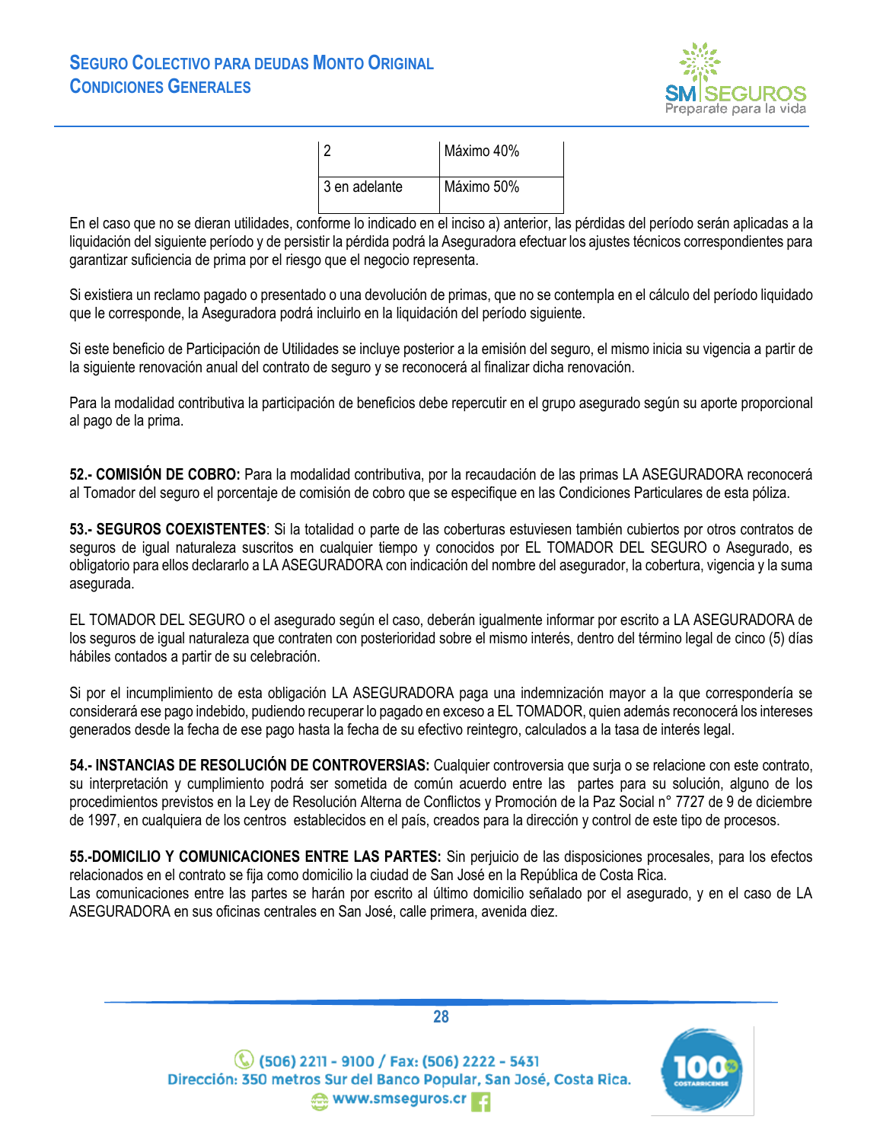

| פ ו             | Máximo 40% |
|-----------------|------------|
| l 3 en adelante | Máximo 50% |

En el caso que no se dieran utilidades, conforme lo indicado en el inciso a) anterior, las pérdidas del período serán aplicadas a la liquidación del siguiente período y de persistir la pérdida podrá la Aseguradora efectuar los ajustes técnicos correspondientes para garantizar suficiencia de prima por el riesgo que el negocio representa.

Si existiera un reclamo pagado o presentado o una devolución de primas, que no se contempla en el cálculo del período liquidado que le corresponde, la Aseguradora podrá incluirlo en la liquidación del período siguiente.

Si este beneficio de Participación de Utilidades se incluye posterior a la emisión del seguro, el mismo inicia su vigencia a partir de la siguiente renovación anual del contrato de seguro y se reconocerá al finalizar dicha renovación.

Para la modalidad contributiva la participación de beneficios debe repercutir en el grupo asegurado según su aporte proporcional al pago de la prima.

<span id="page-27-0"></span>**52.- COMISIÓN DE COBRO:** Para la modalidad contributiva, por la recaudación de las primas LA ASEGURADORA reconocerá al Tomador del seguro el porcentaje de comisión de cobro que se especifique en las Condiciones Particulares de esta póliza.

<span id="page-27-1"></span>**53.- SEGUROS COEXISTENTES**: Si la totalidad o parte de las coberturas estuviesen también cubiertos por otros contratos de seguros de igual naturaleza suscritos en cualquier tiempo y conocidos por EL TOMADOR DEL SEGURO o Asegurado, es obligatorio para ellos declararlo a LA ASEGURADORA con indicación del nombre del asegurador, la cobertura, vigencia y la suma asegurada.

EL TOMADOR DEL SEGURO o el asegurado según el caso, deberán igualmente informar por escrito a LA ASEGURADORA de los seguros de igual naturaleza que contraten con posterioridad sobre el mismo interés, dentro del término legal de cinco (5) días hábiles contados a partir de su celebración.

Si por el incumplimiento de esta obligación LA ASEGURADORA paga una indemnización mayor a la que correspondería se considerará ese pago indebido, pudiendo recuperar lo pagado en exceso a EL TOMADOR, quien además reconocerá los intereses generados desde la fecha de ese pago hasta la fecha de su efectivo reintegro, calculados a la tasa de interés legal.

<span id="page-27-2"></span>**54.- INSTANCIAS DE RESOLUCIÓN DE CONTROVERSIAS:** Cualquier controversia que surja o se relacione con este contrato, su interpretación y cumplimiento podrá ser sometida de común acuerdo entre las partes para su solución, alguno de los procedimientos previstos en la Ley de Resolución Alterna de Conflictos y Promoción de la Paz Social n° 7727 de 9 de diciembre de 1997, en cualquiera de los centros establecidos en el país, creados para la dirección y control de este tipo de procesos.

<span id="page-27-3"></span>**55.-DOMICILIO Y COMUNICACIONES ENTRE LAS PARTES:** Sin perjuicio de las disposiciones procesales, para los efectos relacionados en el contrato se fija como domicilio la ciudad de San José en la República de Costa Rica.

Las comunicaciones entre las partes se harán por escrito al último domicilio señalado por el asegurado, y en el caso de LA ASEGURADORA en sus oficinas centrales en San José, calle primera, avenida diez.

> (C) (506) 2211 - 9100 / Fax: (506) 2222 - 5431<br>Dirección: 350 metros Sur del Banco Popular, San José, Costa Rica. www.smseguros.cr